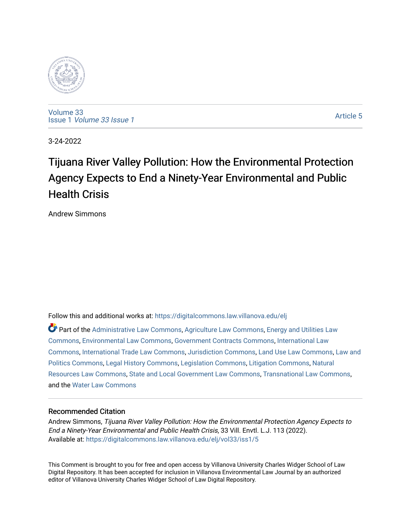

[Volume 33](https://digitalcommons.law.villanova.edu/elj/vol33) Issue 1 [Volume 33 Issue 1](https://digitalcommons.law.villanova.edu/elj/vol33/iss1) 

[Article 5](https://digitalcommons.law.villanova.edu/elj/vol33/iss1/5) 

3-24-2022

# Tijuana River Valley Pollution: How the Environmental Protection Agency Expects to End a Ninety-Year Environmental and Public Health Crisis

Andrew Simmons

Follow this and additional works at: [https://digitalcommons.law.villanova.edu/elj](https://digitalcommons.law.villanova.edu/elj?utm_source=digitalcommons.law.villanova.edu%2Felj%2Fvol33%2Fiss1%2F5&utm_medium=PDF&utm_campaign=PDFCoverPages) 

Part of the [Administrative Law Commons,](http://network.bepress.com/hgg/discipline/579?utm_source=digitalcommons.law.villanova.edu%2Felj%2Fvol33%2Fiss1%2F5&utm_medium=PDF&utm_campaign=PDFCoverPages) [Agriculture Law Commons](http://network.bepress.com/hgg/discipline/581?utm_source=digitalcommons.law.villanova.edu%2Felj%2Fvol33%2Fiss1%2F5&utm_medium=PDF&utm_campaign=PDFCoverPages), [Energy and Utilities Law](http://network.bepress.com/hgg/discipline/891?utm_source=digitalcommons.law.villanova.edu%2Felj%2Fvol33%2Fiss1%2F5&utm_medium=PDF&utm_campaign=PDFCoverPages) [Commons](http://network.bepress.com/hgg/discipline/891?utm_source=digitalcommons.law.villanova.edu%2Felj%2Fvol33%2Fiss1%2F5&utm_medium=PDF&utm_campaign=PDFCoverPages), [Environmental Law Commons,](http://network.bepress.com/hgg/discipline/599?utm_source=digitalcommons.law.villanova.edu%2Felj%2Fvol33%2Fiss1%2F5&utm_medium=PDF&utm_campaign=PDFCoverPages) [Government Contracts Commons,](http://network.bepress.com/hgg/discipline/845?utm_source=digitalcommons.law.villanova.edu%2Felj%2Fvol33%2Fiss1%2F5&utm_medium=PDF&utm_campaign=PDFCoverPages) [International Law](http://network.bepress.com/hgg/discipline/609?utm_source=digitalcommons.law.villanova.edu%2Felj%2Fvol33%2Fiss1%2F5&utm_medium=PDF&utm_campaign=PDFCoverPages)  [Commons](http://network.bepress.com/hgg/discipline/609?utm_source=digitalcommons.law.villanova.edu%2Felj%2Fvol33%2Fiss1%2F5&utm_medium=PDF&utm_campaign=PDFCoverPages), [International Trade Law Commons,](http://network.bepress.com/hgg/discipline/848?utm_source=digitalcommons.law.villanova.edu%2Felj%2Fvol33%2Fiss1%2F5&utm_medium=PDF&utm_campaign=PDFCoverPages) [Jurisdiction Commons,](http://network.bepress.com/hgg/discipline/850?utm_source=digitalcommons.law.villanova.edu%2Felj%2Fvol33%2Fiss1%2F5&utm_medium=PDF&utm_campaign=PDFCoverPages) [Land Use Law Commons](http://network.bepress.com/hgg/discipline/852?utm_source=digitalcommons.law.villanova.edu%2Felj%2Fvol33%2Fiss1%2F5&utm_medium=PDF&utm_campaign=PDFCoverPages), [Law and](http://network.bepress.com/hgg/discipline/867?utm_source=digitalcommons.law.villanova.edu%2Felj%2Fvol33%2Fiss1%2F5&utm_medium=PDF&utm_campaign=PDFCoverPages)  [Politics Commons](http://network.bepress.com/hgg/discipline/867?utm_source=digitalcommons.law.villanova.edu%2Felj%2Fvol33%2Fiss1%2F5&utm_medium=PDF&utm_campaign=PDFCoverPages), [Legal History Commons,](http://network.bepress.com/hgg/discipline/904?utm_source=digitalcommons.law.villanova.edu%2Felj%2Fvol33%2Fiss1%2F5&utm_medium=PDF&utm_campaign=PDFCoverPages) [Legislation Commons,](http://network.bepress.com/hgg/discipline/859?utm_source=digitalcommons.law.villanova.edu%2Felj%2Fvol33%2Fiss1%2F5&utm_medium=PDF&utm_campaign=PDFCoverPages) [Litigation Commons](http://network.bepress.com/hgg/discipline/910?utm_source=digitalcommons.law.villanova.edu%2Felj%2Fvol33%2Fiss1%2F5&utm_medium=PDF&utm_campaign=PDFCoverPages), [Natural](http://network.bepress.com/hgg/discipline/863?utm_source=digitalcommons.law.villanova.edu%2Felj%2Fvol33%2Fiss1%2F5&utm_medium=PDF&utm_campaign=PDFCoverPages)  [Resources Law Commons](http://network.bepress.com/hgg/discipline/863?utm_source=digitalcommons.law.villanova.edu%2Felj%2Fvol33%2Fiss1%2F5&utm_medium=PDF&utm_campaign=PDFCoverPages), [State and Local Government Law Commons,](http://network.bepress.com/hgg/discipline/879?utm_source=digitalcommons.law.villanova.edu%2Felj%2Fvol33%2Fiss1%2F5&utm_medium=PDF&utm_campaign=PDFCoverPages) [Transnational Law Commons](http://network.bepress.com/hgg/discipline/1123?utm_source=digitalcommons.law.villanova.edu%2Felj%2Fvol33%2Fiss1%2F5&utm_medium=PDF&utm_campaign=PDFCoverPages), and the [Water Law Commons](http://network.bepress.com/hgg/discipline/887?utm_source=digitalcommons.law.villanova.edu%2Felj%2Fvol33%2Fiss1%2F5&utm_medium=PDF&utm_campaign=PDFCoverPages)

# Recommended Citation

Andrew Simmons, Tijuana River Valley Pollution: How the Environmental Protection Agency Expects to End a Ninety-Year Environmental and Public Health Crisis, 33 Vill. Envtl. L.J. 113 (2022). Available at: [https://digitalcommons.law.villanova.edu/elj/vol33/iss1/5](https://digitalcommons.law.villanova.edu/elj/vol33/iss1/5?utm_source=digitalcommons.law.villanova.edu%2Felj%2Fvol33%2Fiss1%2F5&utm_medium=PDF&utm_campaign=PDFCoverPages)

This Comment is brought to you for free and open access by Villanova University Charles Widger School of Law Digital Repository. It has been accepted for inclusion in Villanova Environmental Law Journal by an authorized editor of Villanova University Charles Widger School of Law Digital Repository.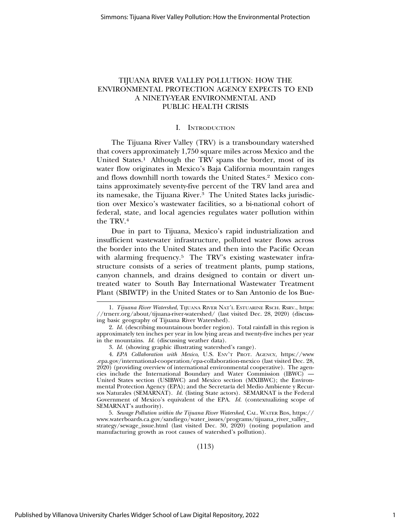# TIJUANA RIVER VALLEY POLLUTION: HOW THE ENVIRONMENTAL PROTECTION AGENCY EXPECTS TO END A NINETY-YEAR ENVIRONMENTAL AND PUBLIC HEALTH CRISIS

#### I. INTRODUCTION

The Tijuana River Valley (TRV) is a transboundary watershed that covers approximately 1,750 square miles across Mexico and the United States.1 Although the TRV spans the border, most of its water flow originates in Mexico's Baja California mountain ranges and flows downhill north towards the United States.2 Mexico contains approximately seventy-five percent of the TRV land area and its namesake, the Tijuana River.<sup>3</sup> The United States lacks jurisdiction over Mexico's wastewater facilities, so a bi-national cohort of federal, state, and local agencies regulates water pollution within the TRV.4

Due in part to Tijuana, Mexico's rapid industrialization and insufficient wastewater infrastructure, polluted water flows across the border into the United States and then into the Pacific Ocean with alarming frequency.<sup>5</sup> The TRV's existing wastewater infrastructure consists of a series of treatment plants, pump stations, canyon channels, and drains designed to contain or divert untreated water to South Bay International Wastewater Treatment Plant (SBIWTP) in the United States or to San Antonio de los Bue-

(113)

<sup>1.</sup> *Tijuana River Watershed*, TIJUANA RIVER NAT'L ESTUARINE RSCH. RSRV., https: //trnerr.org/about/tijuana-river-watershed/ (last visited Dec. 28, 2020) (discussing basic geography of Tijuana River Watershed).

<sup>2.</sup> *Id.* (describing mountainous border region). Total rainfall in this region is approximately ten inches per year in low lying areas and twenty-five inches per year in the mountains. *Id.* (discussing weather data).

<sup>3.</sup> *Id.* (showing graphic illustrating watershed's range).

<sup>4.</sup> *EPA Collaboration with Mexico*, U.S. ENV'T PROT. AGENCY, https://www .epa.gov/international-cooperation/epa-collaboration-mexico (last visited Dec. 28, 2020) (providing overview of international environmental cooperative). The agencies include the International Boundary and Water Commission (IBWC) — United States section (USIBWC) and Mexico section (MXIBWC); the Environmental Protection Agency (EPA); and the Secretaría del Medio Ambiente y Recursos Naturales (SEMARNAT). *Id.* (listing State actors). SEMARNAT is the Federal Government of Mexico's equivalent of the EPA. *Id.* (contextualizing scope of SEMARNAT's authority).

<sup>5.</sup> *Sewage Pollution within the Tijuana River Watershed*, CAL. WATER BDS, https:// www.waterboards.ca.gov/sandiego/water\_issues/programs/tijuana\_river\_valley\_ strategy/sewage\_issue.html (last visited Dec. 30, 2020) (noting population and manufacturing growth as root causes of watershed's pollution).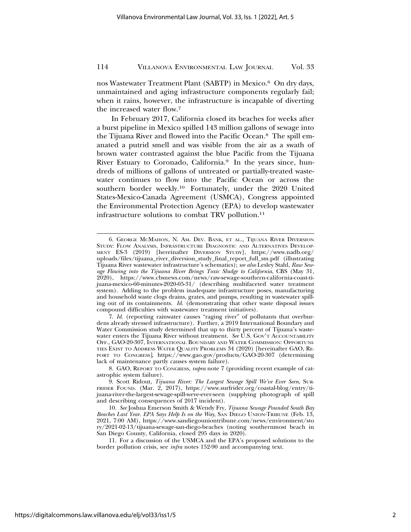nos Wastewater Treatment Plant (SABTP) in Mexico.6 On dry days, unmaintained and aging infrastructure components regularly fail; when it rains, however, the infrastructure is incapable of diverting the increased water flow.7

In February 2017, California closed its beaches for weeks after a burst pipeline in Mexico spilled 143 million gallons of sewage into the Tijuana River and flowed into the Pacific Ocean.8 The spill emanated a putrid smell and was visible from the air as a swath of brown water contrasted against the blue Pacific from the Tijuana River Estuary to Coronado, California.<sup>9</sup> In the years since, hundreds of millions of gallons of untreated or partially-treated wastewater continues to flow into the Pacific Ocean or across the southern border weekly.10 Fortunately, under the 2020 United States-Mexico-Canada Agreement (USMCA), Congress appointed the Environmental Protection Agency (EPA) to develop wastewater infrastructure solutions to combat TRV pollution.11

<sup>6.</sup> GEORGE MCMAHON, N. AM. DEV. BANK, ET AL., TIJUANA RIVER DIVERSION STUDY: FLOW ANALYSIS, INFRASTRUCTURE DIAGNOSTIC AND ALTERNATIVES DEVELOP-MENT ES-3 (2019) [hereinafter DIVERSION STUDY], https://www.nadb.org/ uploads/files/tijuana\_river\_diversion\_study\_final\_report\_full\_sm.pdf (illustrating Tijuana River wastewater infrastructure's schematics); *see also* Lesley Stahl, *Raw Sewage Flowing into the Tijuana River Brings Toxic Sludge to California*, CBS (May 31, 2020), https://www.cbsnews.com/news/raw-sewage-southern-california-coast-tijuana-mexico-60-minutes-2020-05-31/ (describing multifaceted water treatment system). Adding to the problem inadequate infrastructure poses, manufacturing and household waste clogs drains, grates, and pumps, resulting in wastewater spilling out of its containments. *Id.* (demonstrating that other waste disposal issues compound difficulties with wastewater treatment initiatives).

<sup>7.</sup> *Id.* (reporting rainwater causes "raging river" of pollutants that overburdens already stressed infrastructure). Further, a 2019 International Boundary and Water Commission study determined that up to thirty percent of Tijuana's wastewater enters the Tijuana River without treatment. *See* U.S. GOV'T ACCOUNTABILITY OFF., GAO-20-307, INTERNATIONAL BOUNDARY AND WATER COMMISSION: OPPORTUNI-TIES EXIST TO ADDRESS WATER QUALITY PROBLEMS 34 (2020) [hereinafter GAO, RE-PORT TO CONGRESS], https://www.gao.gov/products/GAO-20-307 (determining lack of maintenance partly causes system failure).

<sup>8.</sup> GAO, REPORT TO CONGRESS, *supra* note 7 (providing recent example of catastrophic system failure).

<sup>9.</sup> Scott Ridout, *Tijuana River: The Largest Sewage Spill We've Ever Seen*, SUR-FRIDER FOUND. (Mar. 2, 2017), https://www.surfrider.org/coastal-blog/entry/tijuana-river-the-largest-sewage-spill-weve-ever-seen (supplying photograph of spill and describing consequences of 2017 incident).

<sup>10.</sup> *See* Joshua Emerson Smith & Wendy Fry, *Tijuana Sewage Pounded South Bay Beaches Last Year. EPA Says Help Is on the Way*, SAN DIEGO UNION-TRIBUNE (Feb. 13, 2021, 7:00 AM), https://www.sandiegouniontribune.com/news/environment/sto ry/2021-02-13/tijuana-sewage-san-diego-beaches (noting southernmost beach in San Diego County, California, closed 295 days in 2020).

<sup>11.</sup> For a discussion of the USMCA and the EPA's proposed solutions to the border pollution crisis, see *infra* notes 152-90 and accompanying text.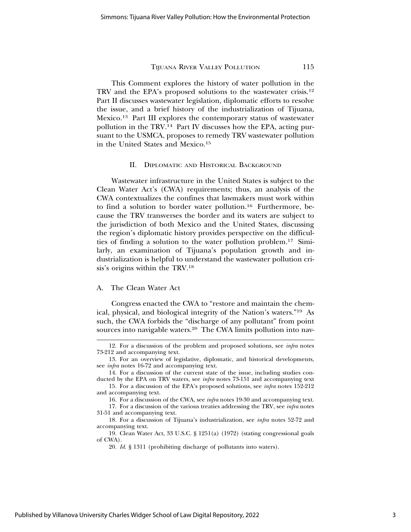This Comment explores the history of water pollution in the TRV and the EPA's proposed solutions to the wastewater crisis.12 Part II discusses wastewater legislation, diplomatic efforts to resolve the issue, and a brief history of the industrialization of Tijuana, Mexico.13 Part III explores the contemporary status of wastewater pollution in the TRV.14 Part IV discusses how the EPA, acting pursuant to the USMCA, proposes to remedy TRV wastewater pollution in the United States and Mexico.15

#### II. DIPLOMATIC AND HISTORICAL BACKGROUND

Wastewater infrastructure in the United States is subject to the Clean Water Act's (CWA) requirements; thus, an analysis of the CWA contextualizes the confines that lawmakers must work within to find a solution to border water pollution.16 Furthermore, because the TRV transverses the border and its waters are subject to the jurisdiction of both Mexico and the United States, discussing the region's diplomatic history provides perspective on the difficulties of finding a solution to the water pollution problem.17 Similarly, an examination of Tijuana's population growth and industrialization is helpful to understand the wastewater pollution crisis's origins within the TRV.18

## A. The Clean Water Act

Congress enacted the CWA to "restore and maintain the chemical, physical, and biological integrity of the Nation's waters."19 As such, the CWA forbids the "discharge of any pollutant" from point sources into navigable waters.20 The CWA limits pollution into nav-

<sup>12.</sup> For a discussion of the problem and proposed solutions, see *infra* notes 73-212 and accompanying text.

<sup>13.</sup> For an overview of legislative, diplomatic, and historical developments, see *infra* notes 16-72 and accompanying text.

<sup>14.</sup> For a discussion of the current state of the issue, including studies conducted by the EPA on TRV waters, see *infra* notes 73-151 and accompanying text

<sup>15.</sup> For a discussion of the EPA's proposed solutions, see *infra* notes 152-212 and accompanying text.

<sup>16.</sup> For a discussion of the CWA, see *infra* notes 19-30 and accompanying text.

<sup>17.</sup> For a discussion of the various treaties addressing the TRV, see *infra* notes 31-51 and accompanying text.

<sup>18.</sup> For a discussion of Tijuana's industrialization, see *infra* notes 52-72 and accompanying text.

<sup>19.</sup> Clean Water Act, 33 U.S.C. § 1251(a) (1972) (stating congressional goals of CWA).

<sup>20.</sup> *Id.* § 1311 (prohibiting discharge of pollutants into waters).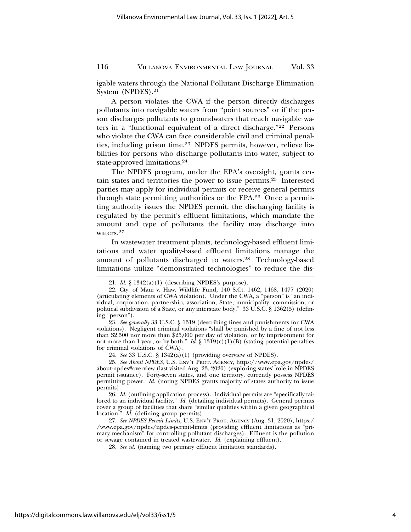igable waters through the National Pollutant Discharge Elimination System (NPDES).21

A person violates the CWA if the person directly discharges pollutants into navigable waters from "point sources" or if the person discharges pollutants to groundwaters that reach navigable waters in a "functional equivalent of a direct discharge."22 Persons who violate the CWA can face considerable civil and criminal penalties, including prison time.23 NPDES permits, however, relieve liabilities for persons who discharge pollutants into water, subject to state-approved limitations.24

The NPDES program, under the EPA's oversight, grants certain states and territories the power to issue permits.25 Interested parties may apply for individual permits or receive general permits through state permitting authorities or the EPA.26 Once a permitting authority issues the NPDES permit, the discharging facility is regulated by the permit's effluent limitations, which mandate the amount and type of pollutants the facility may discharge into waters.27

In wastewater treatment plants, technology-based effluent limitations and water quality-based effluent limitations manage the amount of pollutants discharged to waters.28 Technology-based limitations utilize "demonstrated technologies" to reduce the dis-

23. *See generally* 33 U.S.C. § 1319 (describing fines and punishments for CWA violations). Negligent criminal violations "shall be punished by a fine of not less than \$2,500 nor more than \$25,000 per day of violation, or by imprisonment for not more than 1 year, or by both."  $I\bar{d}$ . § 1319(c)(1)(B) (stating potential penalties for criminal violations of CWA).

24. *See* 33 U.S.C. § 1342(a)(1) (providing overview of NPDES).

25. *See About NPDES*, U.S. ENV'T PROT. AGENCY, https://www.epa.gov/npdes/ about-npdes#overview (last visited Aug. 23, 2020) (exploring states' role in NPDES permit issuance). Forty-seven states, and one territory, currently possess NPDES permitting power. *Id.* (noting NPDES grants majority of states authority to issue permits).

26. *Id.* (outlining application process). Individual permits are "specifically tailored to an individual facility." *Id.* (detailing individual permits). General permits cover a group of facilities that share "similar qualities within a given geographical location." *Id.* (defining group permits).

27. *See NPDES Permit Limits*, U.S. ENV'T PROT. AGENCY (Aug. 31, 2020), https:/ /www.epa.gov/npdes/npdes-permit-limits (providing effluent limitations as "primary mechanism" for controlling pollutant discharges). Effluent is the pollution or sewage contained in treated wastewater. *Id.* (explaining effluent).

28. *See id.* (naming two primary effluent limitation standards).

<sup>21.</sup> *Id.* § 1342(a)(1) (describing NPDES's purpose).

<sup>22.</sup> Cty. of Maui v. Haw. Wildlife Fund, 140 S.Ct. 1462, 1468, 1477 (2020) (articulating elements of CWA violation). Under the CWA, a "person" is "an individual, corporation, partnership, association, State, municipality, commission, or political subdivision of a State, or any interstate body." 33 U.S.C. § 1362(5) (defining "person").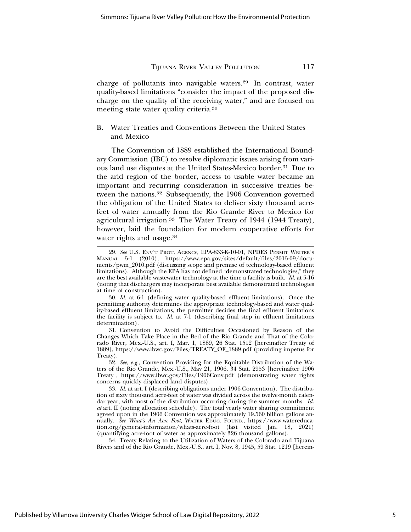charge of pollutants into navigable waters.29 In contrast, water quality-based limitations "consider the impact of the proposed discharge on the quality of the receiving water," and are focused on meeting state water quality criteria.30

## B. Water Treaties and Conventions Between the United States and Mexico

The Convention of 1889 established the International Boundary Commission (IBC) to resolve diplomatic issues arising from various land use disputes at the United States-Mexico border.31 Due to the arid region of the border, access to usable water became an important and recurring consideration in successive treaties between the nations.32 Subsequently, the 1906 Convention governed the obligation of the United States to deliver sixty thousand acrefeet of water annually from the Rio Grande River to Mexico for agricultural irrigation.33 The Water Treaty of 1944 (1944 Treaty), however, laid the foundation for modern cooperative efforts for water rights and usage.<sup>34</sup>

30. *Id.* at 6-1 (defining water quality-based effluent limitations). Once the permitting authority determines the appropriate technology-based and water quality-based effluent limitations, the permitter decides the final effluent limitations the facility is subject to. *Id.* at 7-1 (describing final step in effluent limitations determination).

31. Convention to Avoid the Difficulties Occasioned by Reason of the Changes Which Take Place in the Bed of the Rio Grande and That of the Colorado River, Mex.-U.S., art. I, Mar. 1, 1889, 26 Stat. 1512 [hereinafter Treaty of 1889], https://www.ibwc.gov/Files/TREATY\_OF\_1889.pdf (providing impetus for Treaty).

32. *See, e.g.,* Convention Providing for the Equitable Distribution of the Waters of the Rio Grande, Mex.-U.S., May 21, 1906, 34 Stat. 2953 [hereinafter 1906 Treaty], https://www.ibwc.gov/Files/1906Conv.pdf (demonstrating water rights concerns quickly displaced land disputes).

33. *Id.* at art. I (describing obligations under 1906 Convention). The distribution of sixty thousand acre-feet of water was divided across the twelve-month calendar year, with most of the distribution occurring during the summer months. *Id. at* art. II (noting allocation schedule). The total yearly water sharing commitment agreed upon in the 1906 Convention was approximately 19.560 billion gallons annually. See What's An Acre Foot, WATER EDUC. FOUND., https://www.watereducation.org/general-information/whats-acre-foot (last visited Jan. 18, 2021) (quantifying acre-foot of water as approximately 326 thousand gallons).

34. Treaty Relating to the Utilization of Waters of the Colorado and Tijuana Rivers and of the Rio Grande, Mex.-U.S., art. I, Nov. 8, 1945, 59 Stat. 1219 [herein-

<sup>29.</sup> *See* U.S. ENV'T PROT. AGENCY, EPA-833-K-10-01, NPDES PERMIT WRITER's MANUAL 5-1 (2010), https://www.epa.gov/sites/default/files/2015-09/docu-(2010), https://www.epa.gov/sites/default/files/2015-09/documents/pwm\_2010.pdf (discussing scope and premise of technology-based effluent limitations). Although the EPA has not defined "demonstrated technologies," they are the best available wastewater technology at the time a facility is built. *Id.* at 5-16 (noting that dischargers may incorporate best available demonstrated technologies at time of construction).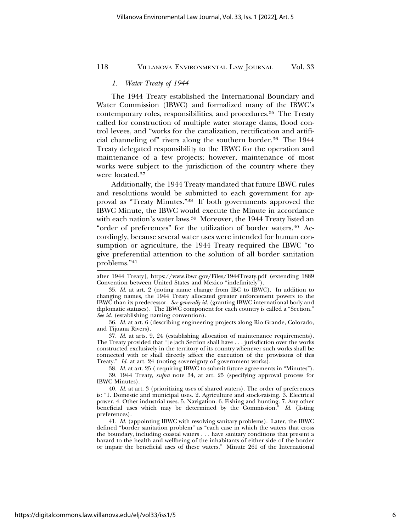#### *1. Water Treaty of 1944*

The 1944 Treaty established the International Boundary and Water Commission (IBWC) and formalized many of the IBWC's contemporary roles, responsibilities, and procedures.35 The Treaty called for construction of multiple water storage dams, flood control levees, and "works for the canalization, rectification and artificial channeling of" rivers along the southern border.36 The 1944 Treaty delegated responsibility to the IBWC for the operation and maintenance of a few projects; however, maintenance of most works were subject to the jurisdiction of the country where they were located.37

Additionally, the 1944 Treaty mandated that future IBWC rules and resolutions would be submitted to each government for approval as "Treaty Minutes."38 If both governments approved the IBWC Minute, the IBWC would execute the Minute in accordance with each nation's water laws.39 Moreover, the 1944 Treaty listed an "order of preferences" for the utilization of border waters.40 Accordingly, because several water uses were intended for human consumption or agriculture, the 1944 Treaty required the IBWC "to give preferential attention to the solution of all border sanitation problems."41

36. *Id.* at art. 6 (describing engineering projects along Rio Grande, Colorado, and Tijuana Rivers).

37. *Id.* at arts. 9, 24 (establishing allocation of maintenance requirements). The Treaty provided that "[e]ach Section shall have . . . jurisdiction over the works constructed exclusively in the territory of its country whenever such works shall be connected with or shall directly affect the execution of the provisions of this Treaty." *Id.* at art. 24 (noting sovereignty of government works).

38. *Id.* at art. 25 ( requiring IBWC to submit future agreements in "Minutes").

39. 1944 Treaty, *supra* note 34, at art. 25 (specifying approval process for IBWC Minutes).

40. *Id.* at art. 3 (prioritizing uses of shared waters). The order of preferences is: "1. Domestic and municipal uses. 2. Agriculture and stock-raising. 3. Electrical power. 4. Other industrial uses. 5. Navigation. 6. Fishing and hunting. 7. Any other beneficial uses which may be determined by the Commission." *Id.* (listing preferences).

41. *Id.* (appointing IBWC with resolving sanitary problems). Later, the IBWC defined "border sanitation problem" as "each case in which the waters that cross the boundary, including coastal waters . . . have sanitary conditions that present a hazard to the health and wellbeing of the inhabitants of either side of the border or impair the beneficial uses of these waters." Minute 261 of the International

after 1944 Treaty], https://www.ibwc.gov/Files/1944Treaty.pdf (extending 1889 Convention between United States and Mexico "indefinitely").

<sup>35.</sup> *Id.* at art. 2 (noting name change from IBC to IBWC). In addition to changing names, the 1944 Treaty allocated greater enforcement powers to the IBWC than its predecessor. *See generally id.* (granting IBWC international body and diplomatic statuses). The IBWC component for each country is called a "Section." *See id.* (establishing naming convention).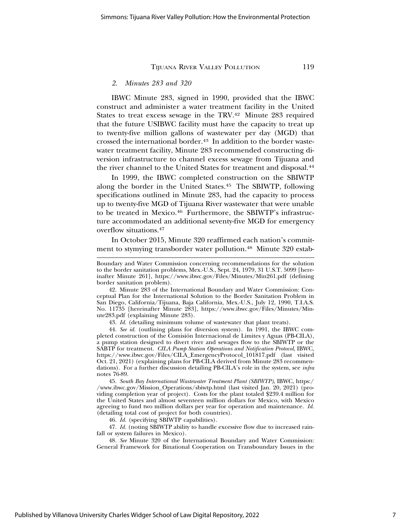#### *2. Minutes 283 and 320*

IBWC Minute 283, signed in 1990, provided that the IBWC construct and administer a water treatment facility in the United States to treat excess sewage in the TRV.<sup>42</sup> Minute 283 required that the future USIBWC facility must have the capacity to treat up to twenty-five million gallons of wastewater per day (MGD) that crossed the international border.<sup>43</sup> In addition to the border wastewater treatment facility, Minute 283 recommended constructing diversion infrastructure to channel excess sewage from Tijuana and the river channel to the United States for treatment and disposal.44

In 1999, the IBWC completed construction on the SBIWTP along the border in the United States.45 The SBIWTP, following specifications outlined in Minute 283, had the capacity to process up to twenty-five MGD of Tijuana River wastewater that were unable to be treated in Mexico.<sup>46</sup> Furthermore, the SBIWTP's infrastructure accommodated an additional seventy-five MGD for emergency overflow situations.47

In October 2015, Minute 320 reaffirmed each nation's commitment to stymying transborder water pollution.48 Minute 320 estab-

43. *Id.* (detailing minimum volume of wastewater that plant treats).

44. *See id.* (outlining plans for diversion system). In 1991, the IBWC completed construction of the Comision Internacional de Limites y Aguas (PB-CILA), ´ a pump station designed to divert river and sewages flow to the SBIWTP or the SABTP for treatment. *CILA Pump Station Operations and Notification Protocol*, IBWC, https://www.ibwc.gov/Files/CILA\_EmergencyProtocol\_101817.pdf (last visited Oct. 21, 2021) (explaining plans for PB-CILA derived from Minute 283 recommendations). For a further discussion detailing PB-CILA's role in the system, see *infra* notes 76-89.

45. *South Bay International Wastewater Treatment Plant (SBIWTP)*, IBWC, https:/ /www.ibwc.gov/Mission\_Operations/sbiwtp.html (last visited Jan. 20, 2021) (providing completion year of project). Costs for the plant totaled \$239.4 million for the United States and almost seventeen million dollars for Mexico, with Mexico agreeing to fund two million dollars per year for operation and maintenance. *Id.* (detailing total cost of project for both countries).

46. *Id.* (specifying SBIWTP capabilities).

47. *Id.* (noting SBIWTP ability to handle excessive flow due to increased rainfall or system failures in Mexico).

48. *See* Minute 320 of the International Boundary and Water Commission: General Framework for Binational Cooperation on Transboundary Issues in the

Boundary and Water Commission concerning recommendations for the solution to the border sanitation problems, Mex.-U.S., Sept. 24, 1979, 31 U.S.T. 5099 [hereinafter Minute 261], https://www.ibwc.gov/Files/Minutes/Min261.pdf (defining border sanitation problem).

<sup>42.</sup> Minute 283 of the International Boundary and Water Commission: Conceptual Plan for the International Solution to the Border Sanitation Problem in San Diego, California/Tijuana, Baja California, Mex.-U.S., July 12, 1990, T.I.A.S. No. 11735 [hereinafter Minute 283], https://www.ibwc.gov/Files/Minutes/Minute283.pdf (explaining Minute 283).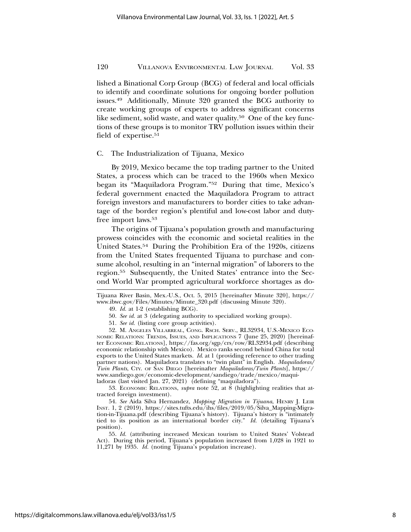lished a Binational Corp Group (BCG) of federal and local officials to identify and coordinate solutions for ongoing border pollution issues.49 Additionally, Minute 320 granted the BCG authority to create working groups of experts to address significant concerns like sediment, solid waste, and water quality.<sup>50</sup> One of the key functions of these groups is to monitor TRV pollution issues within their field of expertise.<sup>51</sup>

#### C. The Industrialization of Tijuana, Mexico

By 2019, Mexico became the top trading partner to the United States, a process which can be traced to the 1960s when Mexico began its "Maquiladora Program."52 During that time, Mexico's federal government enacted the Maquiladora Program to attract foreign investors and manufacturers to border cities to take advantage of the border region's plentiful and low-cost labor and dutyfree import laws.53

The origins of Tijuana's population growth and manufacturing prowess coincides with the economic and societal realities in the United States.54 During the Prohibition Era of the 1920s, citizens from the United States frequented Tijuana to purchase and consume alcohol, resulting in an "internal migration" of laborers to the region.55 Subsequently, the United States' entrance into the Second World War prompted agricultural workforce shortages as do-

49. *Id.* at 1-2 (establishing BCG).

50. *See id.* at 3 (delegating authority to specialized working groups).

51. *See id.* (listing core group activities).

52. M. ANGELES VILLARREAL, CONG. RSCH. SERV., RL32934, U.S.-MEXICO ECO-NOMIC RELATIONS: TRENDS, ISSUES, AND IMPLICATIONS 7 (June 25, 2020) [hereinafter ECONOMIC RELATIONS], https://fas.org/sgp/crs/row/RL32934.pdf (describing economic relationship with Mexico). Mexico ranks second behind China for total exports to the United States markets. *Id*. at 1 (providing reference to other trading partner nations). Maquiladora translates to "twin plant" in English. *Maquiladoras/ Twin Plants*, CTY. OF SAN DIEGO [hereinafter *Maquiladoras/Twin Plants*], https:// www.sandiego.gov/economic-development/sandiego/trade/mexico/maquiladoras (last visited Jan. 27, 2021) (defining "maquiladora").

53. ECONOMIC RELATIONS, *supra* note 52, at 8 (highlighting realities that attracted foreign investment).

54. *See* Aida Silva Hernandez, *Mapping Migration in Tijuana*, HENRY J. LEIR INST. 1, 2 (2019), https://sites.tufts.edu/ihs/files/2019/05/Silva\_Mapping-Migration-in-Tijuana.pdf (describing Tijuana's history). Tijuana's history is "intimately tied to its position as an international border city." *Id.* (detailing Tijuana's position).

55. *Id.* (attributing increased Mexican tourism to United States' Volstead Act). During this period, Tijuana's population increased from 1,028 in 1921 to 11,271 by 1935. *Id.* (noting Tijuana's population increase).

Tijuana River Basin, Mex.-U.S., Oct. 5, 2015 [hereinafter Minute 320], https:// www.ibwc.gov/Files/Minutes/Minute\_320.pdf (discussing Minute 320).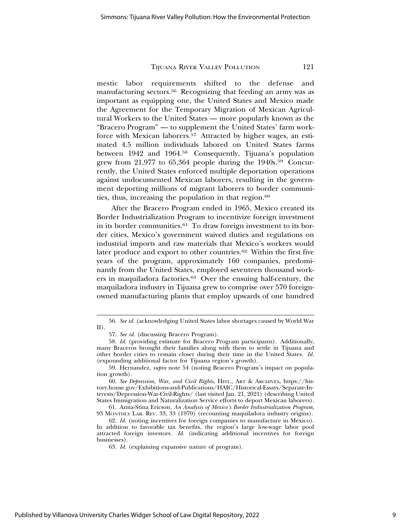mestic labor requirements shifted to the defense and manufacturing sectors.56 Recognizing that feeding an army was as important as equipping one, the United States and Mexico made the Agreement for the Temporary Migration of Mexican Agricultural Workers to the United States — more popularly known as the "Bracero Program" — to supplement the United States' farm workforce with Mexican laborers.57 Attracted by higher wages, an estimated 4.5 million individuals labored on United States farms between 1942 and 1964.58 Consequently, Tijuana's population grew from 21,977 to 65,364 people during the 1940s.59 Concurrently, the United States enforced multiple deportation operations against undocumented Mexican laborers, resulting in the government deporting millions of migrant laborers to border communities, thus, increasing the population in that region.<sup>60</sup>

After the Bracero Program ended in 1965, Mexico created its Border Industrialization Program to incentivize foreign investment in its border communities.61 To draw foreign investment to its border cities, Mexico's government waived duties and regulations on industrial imports and raw materials that Mexico's workers would later produce and export to other countries.62 Within the first five years of the program, approximately 160 companies, predominantly from the United States, employed seventeen thousand workers in maquiladora factories.63 Over the ensuing half-century, the maquiladora industry in Tijuana grew to comprise over 570 foreignowned manufacturing plants that employ upwards of one hundred

61. Anna-Stina Ericson, *An Analysis of Mexico's Border Industrialization Program*, 93 MONTHLY LAB. REV. 33, 33 (1970) (recounting maquiladora industry origins).

Published by Villanova University Charles Widger School of Law Digital Repository, 2022

<sup>56.</sup> *See id.* (acknowledging United States labor shortages caused by World War  $II$ ).

<sup>57.</sup> *See id.* (discussing Bracero Program).

<sup>58.</sup> *Id.* (providing estimate for Bracero Program participants). Additionally, many Braceros brought their families along with them to settle in Tijuana and other border cities to remain closer during their time in the United States. *Id.* (expounding additional factor for Tijuana region's growth).

<sup>59.</sup> Hernandez, *supra* note 54 (noting Bracero Program's impact on population growth).

<sup>60.</sup> *See Depression, War, and Civil Rights*, HIST., ART & ARCHIVES, https://history.house.gov/Exhibitions-and-Publications/HAIC/Historical-Essays/Separate-Interests/Depression-War-Civil-Rights/ (last visited Jan. 21, 2021) (describing United States Immigration and Naturalization Service efforts to deport Mexican laborers).

<sup>62.</sup> *Id.* (noting incentives for foreign companies to manufacture in Mexico). In addition to favorable tax benefits, the region's large low-wage labor pool attracted foreign investors. *Id.* (indicating additional incentives for foreign businesses).

<sup>63.</sup> *Id.* (explaining expansive nature of program).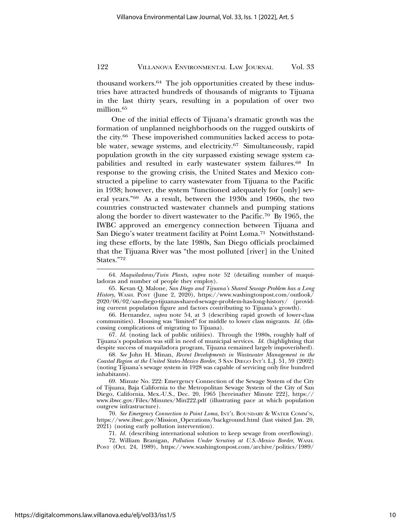thousand workers.64 The job opportunities created by these industries have attracted hundreds of thousands of migrants to Tijuana in the last thirty years, resulting in a population of over two million.65

One of the initial effects of Tijuana's dramatic growth was the formation of unplanned neighborhoods on the rugged outskirts of the city.66 These impoverished communities lacked access to potable water, sewage systems, and electricity.67 Simultaneously, rapid population growth in the city surpassed existing sewage system capabilities and resulted in early wastewater system failures.68 In response to the growing crisis, the United States and Mexico constructed a pipeline to carry wastewater from Tijuana to the Pacific in 1938; however, the system "functioned adequately for [only] several years."69 As a result, between the 1930s and 1960s, the two countries constructed wastewater channels and pumping stations along the border to divert wastewater to the Pacific.70 By 1965, the IWBC approved an emergency connection between Tijuana and San Diego's water treatment facility at Point Loma.<sup>71</sup> Notwithstanding these efforts, by the late 1980s, San Diego officials proclaimed that the Tijuana River was "the most polluted [river] in the United States."72

67. *Id.* (noting lack of public utilities). Through the 1980s, roughly half of Tijuana's population was still in need of municipal services. *Id.* (highlighting that despite success of maquiladora program, Tijuana remained largely impoverished).

68. *See* John H. Minan, *Recent Developments in Wastewater Management in the Coastal Region at the United States-Mexico Border*, 3 SAN DIEGO INT'L L.J. 51, 59 (2002) (noting Tijuana's sewage system in 1928 was capable of servicing only five hundred inhabitants).

69. Minute No. 222: Emergency Connection of the Sewage System of the City of Tijuana, Baja California to the Metropolitan Sewage System of the City of San Diego, California, Mex.-U.S., Dec. 20, 1965 [hereinafter Minute 222], https:// www.ibwc.gov/Files/Minutes/Min222.pdf (illustrating pace at which population outgrew infrastructure).

70. *See Emergency Connection to Point Loma*, INT'L BOUNDARY & WATER COMM'N, https://www.ibwc.gov/Mission\_Operations/background.html (last visited Jan. 20, 2021) (noting early pollution intervention).

71. *Id.* (describing international solution to keep sewage from overflowing).

72. William Branigan, *Pollution Under Scrutiny at U.S.-Mexico Border*, WASH. POST (Oct. 24, 1989), https://www.washingtonpost.com/archive/politics/1989/

<sup>64.</sup> *Maquiladoras/Twin Plants*, *supra* note 52 (detailing number of maquiladoras and number of people they employ).

<sup>65.</sup> Kevan Q. Malone, *San Diego and Tijuana's Shared Sewage Problem has a Long* History, WASH. POST (June 2, 2020), https://www.washingtonpost.com/outlook/ 2020/06/02/san-diego-tijuanas-shared-sewage-problem-has-long-history/ (providing current population figure and factors contributing to Tijuana's growth).

<sup>66.</sup> Hernandez, *supra* note 54, at 3 (describing rapid growth of lower-class communities). Housing was "limited" for middle to lower class migrants. *Id.* (discussing complications of migrating to Tijuana).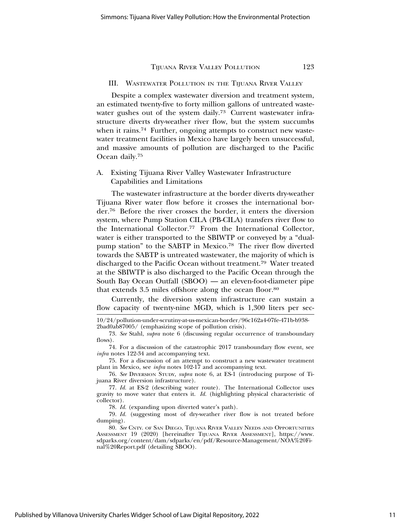#### III. WASTEWATER POLLUTION IN THE TIJUANA RIVER VALLEY

Despite a complex wastewater diversion and treatment system, an estimated twenty-five to forty million gallons of untreated wastewater gushes out of the system daily.<sup>73</sup> Current wastewater infrastructure diverts dry-weather river flow, but the system succumbs when it rains.<sup>74</sup> Further, ongoing attempts to construct new wastewater treatment facilities in Mexico have largely been unsuccessful, and massive amounts of pollution are discharged to the Pacific Ocean daily.75

## A. Existing Tijuana River Valley Wastewater Infrastructure Capabilities and Limitations

The wastewater infrastructure at the border diverts dry-weather Tijuana River water flow before it crosses the international border.76 Before the river crosses the border, it enters the diversion system, where Pump Station CILA (PB-CILA) transfers river flow to the International Collector.77 From the International Collector, water is either transported to the SBIWTP or conveyed by a "dualpump station" to the SABTP in Mexico.78 The river flow diverted towards the SABTP is untreated wastewater, the majority of which is discharged to the Pacific Ocean without treatment.79 Water treated at the SBIWTP is also discharged to the Pacific Ocean through the South Bay Ocean Outfall (SBOO) — an eleven-foot-diameter pipe that extends 3.5 miles offshore along the ocean floor.80

Currently, the diversion system infrastructure can sustain a flow capacity of twenty-nine MGD, which is 1,300 liters per sec-

75. For a discussion of an attempt to construct a new wastewater treatment plant in Mexico, see *infra* notes 102-17 and accompanying text.

76. *See* DIVERSION STUDY, *supra* note 6, at ES-1 (introducing purpose of Tijuana River diversion infrastructure).

78. *Id.* (expanding upon diverted water's path).

79. *Id.* (suggesting most of dry-weather river flow is not treated before dumping).

<sup>10/24/</sup>pollution-under-scrutiny-at-us-mexican-border/96c162a4-07fe-471b-b938- 2bad0ab87005/ (emphasizing scope of pollution crisis).

<sup>73.</sup> *See* Stahl, *supra* note 6 (discussing regular occurrence of transboundary flows).

<sup>74.</sup> For a discussion of the catastrophic 2017 transboundary flow event, see *infra* notes 122-34 and accompanying text.

<sup>77.</sup> *Id.* at ES-2 (describing water route). The International Collector uses gravity to move water that enters it. *Id.* (highlighting physical characteristic of collector).

<sup>80.</sup> *See* CNTY. OF SAN DIEGO, TIJUANA RIVER VALLEY NEEDS AND OPPORTUNITIES ASSESSMENT 19 (2020) [hereinafter TIJUANA RIVER ASSESSMENT], https://www. sdparks.org/content/dam/sdparks/en/pdf/Resource-Management/NOA%20Final%20Report.pdf (detailing SBOO).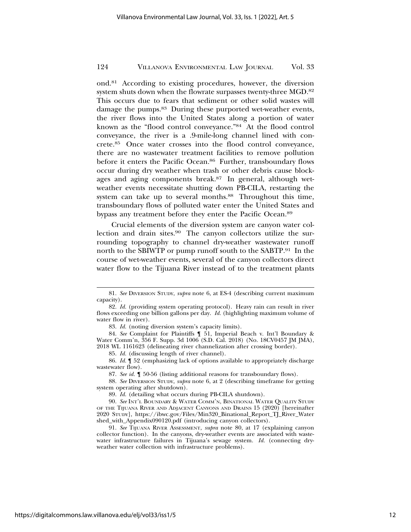ond.81 According to existing procedures, however, the diversion system shuts down when the flowrate surpasses twenty-three MGD.82 This occurs due to fears that sediment or other solid wastes will damage the pumps.<sup>83</sup> During these purported wet-weather events, the river flows into the United States along a portion of water known as the "flood control conveyance."84 At the flood control conveyance, the river is a .9-mile-long channel lined with concrete.85 Once water crosses into the flood control conveyance, there are no wastewater treatment facilities to remove pollution before it enters the Pacific Ocean.<sup>86</sup> Further, transboundary flows occur during dry weather when trash or other debris cause blockages and aging components break.87 In general, although wetweather events necessitate shutting down PB-CILA, restarting the system can take up to several months.<sup>88</sup> Throughout this time, transboundary flows of polluted water enter the United States and bypass any treatment before they enter the Pacific Ocean.89

Crucial elements of the diversion system are canyon water collection and drain sites.90 The canyon collectors utilize the surrounding topography to channel dry-weather wastewater runoff north to the SBIWTP or pump runoff south to the SABTP.91 In the course of wet-weather events, several of the canyon collectors direct water flow to the Tijuana River instead of to the treatment plants

<sup>81.</sup> *See* DIVERSION STUDY, *supra* note 6, at ES-4 (describing current maximum capacity).

<sup>82.</sup> *Id.* (providing system operating protocol). Heavy rain can result in river flows exceeding one billion gallons per day. *Id.* (highlighting maximum volume of water flow in river).

<sup>83.</sup> *Id.* (noting diversion system's capacity limits).

<sup>84.</sup> *See* Complaint for Plaintiffs ¶ 51, Imperial Beach v. Int'l Boundary & Water Comm'n, 356 F. Supp. 3d 1006 (S.D. Cal. 2018) (No. 18CV0457 JM JMA), 2018 WL 1161623 (delineating river channelization after crossing border).

<sup>85.</sup> *Id.* (discussing length of river channel).

<sup>86.</sup> *Id.* ¶ 52 (emphasizing lack of options available to appropriately discharge wastewater flow).

<sup>87.</sup> *See id.* ¶ 50-56 (listing additional reasons for transboundary flows).

<sup>88.</sup> *See* DIVERSION STUDY, *supra* note 6, at 2 (describing timeframe for getting system operating after shutdown).

<sup>89.</sup> *Id.* (detailing what occurs during PB-CILA shutdown).

<sup>90.</sup> *See* INT'L BOUNDARY & WATER COMM'N, BINATIONAL WATER QUALITY STUDY OF THE TIJUANA RIVER AND ADJACENT CANYONS AND DRAINS 15 (2020) [hereinafter 2020 STUDY], https://ibwc.gov/Files/Min320\_Binational\_Report\_TJ\_River\_Water shed\_with\_Appendix090120.pdf (introducing canyon collectors).

<sup>91.</sup> *See* TIJUANA RIVER ASSESSMENT, *supra* note 80, at 17 (explaining canyon collector function). In the canyons, dry-weather events are associated with wastewater infrastructure failures in Tijuana's sewage system. *Id.* (connecting dryweather water collection with infrastructure problems).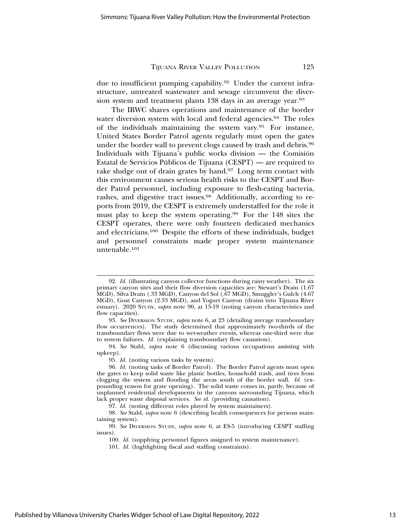due to insufficient pumping capability.92 Under the current infrastructure, untreated wastewater and sewage circumvent the diversion system and treatment plants 138 days in an average year.<sup>93</sup>

The IBWC shares operations and maintenance of the border water diversion system with local and federal agencies.<sup>94</sup> The roles of the individuals maintaining the system vary.95 For instance, United States Border Patrol agents regularly must open the gates under the border wall to prevent clogs caused by trash and debris.96 Individuals with Tijuana's public works division  $-$  the Comisión Estatal de Servicios Publicos de Tijuana (CESPT) — are required to ´ rake sludge out of drain grates by hand.97 Long term contact with this environment causes serious health risks to the CESPT and Border Patrol personnel, including exposure to flesh-eating bacteria, rashes, and digestive tract issues.98 Additionally, according to reports from 2019, the CESPT is extremely understaffed for the role it must play to keep the system operating.99 For the 148 sites the CESPT operates, there were only fourteen dedicated mechanics and electricians.100 Despite the efforts of these individuals, budget and personnel constraints made proper system maintenance untenable.101

95. *Id.* (noting various tasks by system).

<sup>92.</sup> *Id.* (illustrating canyon collector functions during rainy weather). The six primary canyon sites and their flow diversion capacities are: Stewart's Drain (1.67 MGD), Silva Drain (.33 MGD), Canyon del Sol (.67 MGD), Smuggler's Gulch (4.67 MGD), Goat Canyon (2.33 MGD), and Yogurt Canyon (drains into Tijuana River estuary). 2020 STUDY, *supra* note 90, at 15-19 (noting canyon characteristics and flow capacities).

<sup>93.</sup> *See* DIVERSION STUDY, *supra* note 6, at 23 (detailing average transboundary flow occurrences). The study determined that approximately two-thirds of the transboundary flows were due to wet-weather events, whereas one-third were due to system failures. *Id.* (explaining transboundary flow causation).

<sup>94.</sup> *See* Stahl, *supra* note 6 (discussing various occupations assisting with upkeep).

<sup>96.</sup> *Id.* (noting tasks of Border Patrol). The Border Patrol agents must open the gates to keep solid waste like plastic bottles, household trash, and tires from clogging the system and flooding the areas south of the border wall. *Id.* (expounding reason for grate opening). The solid waste comes in, partly, because of unplanned residential developments in the canyons surrounding Tijuana, which lack proper waste disposal services. *See id.* (providing causation).

<sup>97.</sup> *Id.* (noting different roles played by system maintainers).

<sup>98.</sup> *See* Stahl, *supra* note 6 (describing health consequences for persons maintaining system).

<sup>99.</sup> *See* DIVERSION STUDY, *supra* note 6, at ES-5 (introducing CESPT staffing issues).

<sup>100.</sup> *Id.* (supplying personnel figures assigned to system maintenance).

<sup>101.</sup> *Id.* (highlighting fiscal and staffing constraints).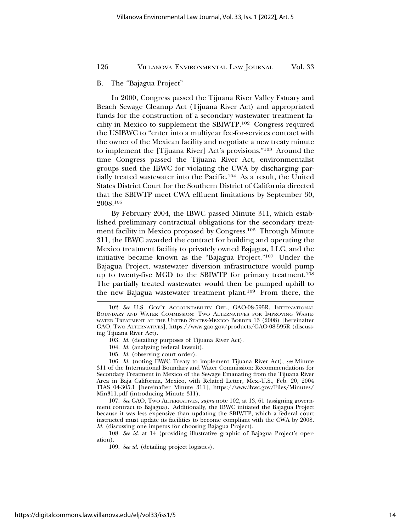#### B. The "Bajagua Project"

In 2000, Congress passed the Tijuana River Valley Estuary and Beach Sewage Cleanup Act (Tijuana River Act) and appropriated funds for the construction of a secondary wastewater treatment facility in Mexico to supplement the SBIWTP.102 Congress required the USIBWC to "enter into a multiyear fee-for-services contract with the owner of the Mexican facility and negotiate a new treaty minute to implement the [Tijuana River] Act's provisions."103 Around the time Congress passed the Tijuana River Act, environmentalist groups sued the IBWC for violating the CWA by discharging partially treated wastewater into the Pacific.104 As a result, the United States District Court for the Southern District of California directed that the SBIWTP meet CWA effluent limitations by September 30, 2008.105

By February 2004, the IBWC passed Minute 311, which established preliminary contractual obligations for the secondary treatment facility in Mexico proposed by Congress.106 Through Minute 311, the IBWC awarded the contract for building and operating the Mexico treatment facility to privately owned Bajagua, LLC, and the initiative became known as the "Bajagua Project."107 Under the Bajagua Project, wastewater diversion infrastructure would pump up to twenty-five MGD to the SBIWTP for primary treatment.108 The partially treated wastewater would then be pumped uphill to the new Bajagua wastewater treatment plant.109 From there, the

104. *Id.* (analyzing federal lawsuit).

105. *Id.* (observing court order).

106. *Id.* (noting IBWC Treaty to implement Tijuana River Act); *see* Minute 311 of the International Boundary and Water Commission: Recommendations for Secondary Treatment in Mexico of the Sewage Emanating from the Tijuana River Area in Baja California, Mexico, with Related Letter, Mex.-U.S., Feb. 20, 2004 TIAS 04-305.1 [hereinafter Minute 311], https://www.ibwc.gov/Files/Minutes/ Min311.pdf (introducing Minute 311).

107. *See* GAO, TWO ALTERNATIVES, *supra* note 102, at 13, 61 (assigning government contract to Bajagua). Additionally, the IBWC initiated the Bajagua Project because it was less expensive than updating the SBIWTP, which a federal court instructed must update its facilities to become compliant with the CWA by 2008. *Id.* (discussing one impetus for choosing Bajagua Project).

108. *See id.* at 14 (providing illustrative graphic of Bajagua Project's operation).

109. *See id.* (detailing project logistics).

<sup>102.</sup> *See* U.S. GOV'T ACCOUNTABILITY OFF., GAO-08-595R, INTERNATIONAL BOUNDARY AND WATER COMMISSION: TWO ALTERNATIVES FOR IMPROVING WASTE-WATER TREATMENT AT THE UNITED STATES-MEXICO BORDER 13 (2008) [hereinafter GAO, TWO ALTERNATIVES], https://www.gao.gov/products/GAO-08-595R (discussing Tijuana River Act).

<sup>103.</sup> *Id.* (detailing purposes of Tijuana River Act).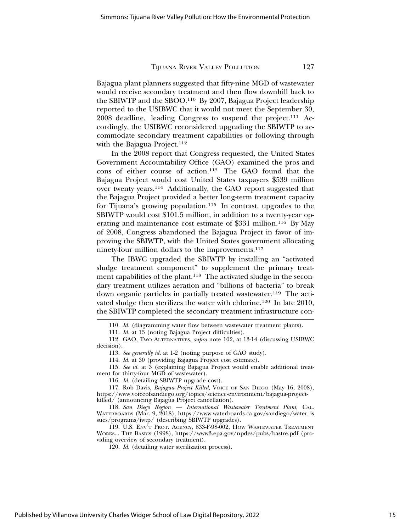Bajagua plant planners suggested that fifty-nine MGD of wastewater would receive secondary treatment and then flow downhill back to the SBIWTP and the SBOO.110 By 2007, Bajagua Project leadership reported to the USIBWC that it would not meet the September 30, 2008 deadline, leading Congress to suspend the project.111 Accordingly, the USIBWC reconsidered upgrading the SBIWTP to accommodate secondary treatment capabilities or following through with the Bajagua Project.<sup>112</sup>

In the 2008 report that Congress requested, the United States Government Accountability Office (GAO) examined the pros and cons of either course of action.113 The GAO found that the Bajagua Project would cost United States taxpayers \$539 million over twenty years.114 Additionally, the GAO report suggested that the Bajagua Project provided a better long-term treatment capacity for Tijuana's growing population.115 In contrast, upgrades to the SBIWTP would cost \$101.5 million, in addition to a twenty-year operating and maintenance cost estimate of \$331 million.116 By May of 2008, Congress abandoned the Bajagua Project in favor of improving the SBIWTP, with the United States government allocating ninety-four million dollars to the improvements.117

The IBWC upgraded the SBIWTP by installing an "activated sludge treatment component" to supplement the primary treatment capabilities of the plant.<sup>118</sup> The activated sludge in the secondary treatment utilizes aeration and "billions of bacteria" to break down organic particles in partially treated wastewater.119 The activated sludge then sterilizes the water with chlorine.<sup>120</sup> In late 2010, the SBIWTP completed the secondary treatment infrastructure con-

115. *See id.* at 3 (explaining Bajagua Project would enable additional treatment for thirty-four MGD of wastewater).

<sup>110.</sup> *Id.* (diagramming water flow between wastewater treatment plants).

<sup>111.</sup> *Id.* at 13 (noting Bajagua Project difficulties).

<sup>112.</sup> GAO, TWO ALTERNATIVES, *supra* note 102, at 13-14 (discussing USIBWC decision).

<sup>113.</sup> *See generally id.* at 1-2 (noting purpose of GAO study).

<sup>114.</sup> *Id.* at 30 (providing Bajagua Project cost estimate).

<sup>116.</sup> *Id.* (detailing SBIWTP upgrade cost).

<sup>117.</sup> Rob Davis, *Bajagua Project Killed*, VOICE OF SAN DIEGO (May 16, 2008), https://www.voiceofsandiego.org/topics/science-environment/bajagua-projectkilled/ (announcing Bajagua Project cancellation).

<sup>118.</sup> *San Diego Region — International Wastewater Treatment Plant*, CAL. WATERBOARDS (Mar. 9, 2018), https://www.waterboards.ca.gov/sandiego/water\_is sues/programs/iwtp/ (describing SBIWTP upgrades).

<sup>119.</sup> U.S. ENV'T PROT. AGENCY, 833-F-98-002, HOW WASTEWATER TREATMENT WORKS... THE BASICS (1998), https://www3.epa.gov/npdes/pubs/bastre.pdf (providing overview of secondary treatment).

<sup>120.</sup> *Id.* (detailing water sterilization process).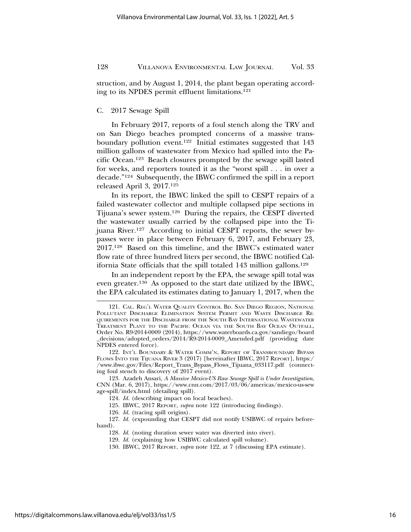struction, and by August 1, 2014, the plant began operating according to its NPDES permit effluent limitations.121

## C. 2017 Sewage Spill

In February 2017, reports of a foul stench along the TRV and on San Diego beaches prompted concerns of a massive transboundary pollution event.122 Initial estimates suggested that 143 million gallons of wastewater from Mexico had spilled into the Pacific Ocean.123 Beach closures prompted by the sewage spill lasted for weeks, and reporters touted it as the "worst spill . . . in over a decade."124 Subsequently, the IBWC confirmed the spill in a report released April 3, 2017.125

In its report, the IBWC linked the spill to CESPT repairs of a failed wastewater collector and multiple collapsed pipe sections in Tijuana's sewer system.126 During the repairs, the CESPT diverted the wastewater usually carried by the collapsed pipe into the Tijuana River.127 According to initial CESPT reports, the sewer bypasses were in place between February 6, 2017, and February 23, 2017.128 Based on this timeline, and the IBWC's estimated water flow rate of three hundred liters per second, the IBWC notified California State officials that the spill totaled 143 million gallons.<sup>129</sup>

In an independent report by the EPA, the sewage spill total was even greater.130 As opposed to the start date utilized by the IBWC, the EPA calculated its estimates dating to January 1, 2017, when the

122. INT'L BOUNDARY & WATER COMM'N, REPORT OF TRANSBOUNDARY BYPASS FLOWS INTO THE TIJUANA RIVER 3 (2017) [hereinafter IBWC, 2017 REPORT], https:/ /www.ibwc.gov/Files/Report\_Trans\_Bypass\_Flows\_Tijuana\_033117.pdf (connecting foul stench to discovery of 2017 event).

123. Azadeh Ansari, *A Massive Mexico-US Raw Sewage Spill is Under Investigation*, CNN (Mar. 6, 2017), https://www.cnn.com/2017/03/06/americas/mexico-us-sew age-spill/index.html (detailing spill).

124. *Id.* (describing impact on local beaches).

125. IBWC, 2017 REPORT, *supra* note 122 (introducing findings).

126. *Id.* (tracing spill origins).

127. *Id.* (expounding that CESPT did not notify USIBWC of repairs before-

hand).

128. *Id.* (noting duration sewer water was diverted into river).

129. *Id.* (explaining how USIBWC calculated spill volume).

<sup>121.</sup> CAL. REG'L WATER QUALITY CONTROL BD. SAN DIEGO REGION, NATIONAL POLLUTANT DISCHARGE ELIMINATION SYSTEM PERMIT AND WASTE DISCHARGE RE-QUIREMENTS FOR THE DISCHARGE FROM THE SOUTH BAY INTERNATIONAL WASTEWATER TREATMENT PLANT TO THE PACIFIC OCEAN VIA THE SOUTH BAY OCEAN OUTFALL, Order No. R9-2014-0009 (2014), https://www.waterboards.ca.gov/sandiego/board \_decisions/adopted\_orders/2014/R9-2014-0009\_Amended.pdf (providing date NPDES entered force).

<sup>130.</sup> IBWC, 2017 REPORT, *supra* note 122, at 7 (discussing EPA estimate).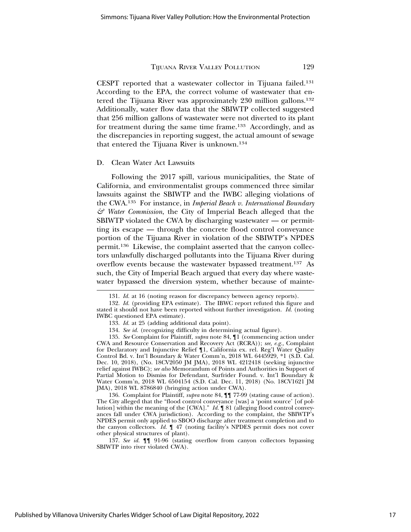CESPT reported that a wastewater collector in Tijuana failed.131 According to the EPA, the correct volume of wastewater that entered the Tijuana River was approximately 230 million gallons.132 Additionally, water flow data that the SBIWTP collected suggested that 256 million gallons of wastewater were not diverted to its plant for treatment during the same time frame.133 Accordingly, and as the discrepancies in reporting suggest, the actual amount of sewage that entered the Tijuana River is unknown.134

#### D. Clean Water Act Lawsuits

Following the 2017 spill, various municipalities, the State of California, and environmentalist groups commenced three similar lawsuits against the SBIWTP and the IWBC alleging violations of the CWA.135 For instance, in *Imperial Beach v. International Boundary & Water Commission*, the City of Imperial Beach alleged that the SBIWTP violated the CWA by discharging wastewater — or permitting its escape — through the concrete flood control conveyance portion of the Tijuana River in violation of the SBIWTP's NPDES permit.136 Likewise, the complaint asserted that the canyon collectors unlawfully discharged pollutants into the Tijuana River during overflow events because the wastewater bypassed treatment.137 As such, the City of Imperial Beach argued that every day where wastewater bypassed the diversion system, whether because of mainte-

135. *See* Complaint for Plaintiff, *supra* note 84, ¶1 (commencing action under CWA and Resource Conservation and Recovery Act (RCRA)); *see, e.g.,* Complaint for Declaratory and Injunctive Relief ¶1, California ex. rel. Reg'l Water Quality Control Bd. v. Int'l Boundary & Water Comm'n, 2018 WL 6445929, \*1 (S.D. Cal. Dec. 10, 2018), (No. 18CV2050 JM JMA), 2018 WL 4212418 (seeking injunctive relief against IWBC); *see also* Memorandum of Points and Authorities in Support of Partial Motion to Dismiss for Defendant, Surfrider Found. v. Int'l Boundary & Water Comm'n, 2018 WL 6504154 (S.D. Cal. Dec. 11, 2018) (No. 18CV1621 JM JMA), 2018 WL 8786840 (bringing action under CWA).

136. Complaint for Plaintiff, *supra* note 84, ¶¶ 77-99 (stating cause of action). The City alleged that the "flood control conveyance [was] a 'point source' [of pollution] within the meaning of the [CWA]." *Id.* ¶ 81 (alleging flood control conveyances fall under CWA jurisdiction). According to the complaint, the SBIWTP's NPDES permit only applied to SBOO discharge after treatment completion and to the canyon collectors. *Id.* ¶ 47 (noting facility's NPDES permit does not cover other physical structures of plant).

137. *See id.* ¶¶ 91-96 (stating overflow from canyon collectors bypassing SBIWTP into river violated CWA).

<sup>131.</sup> *Id.* at 16 (noting reason for discrepancy between agency reports).

<sup>132.</sup> *Id.* (providing EPA estimate). The IBWC report refuted this figure and stated it should not have been reported without further investigation. *Id.* (noting IWBC questioned EPA estimate).

<sup>133.</sup> *Id.* at 25 (adding additional data point).

<sup>134.</sup> *See id.* (recognizing difficulty in determining actual figure).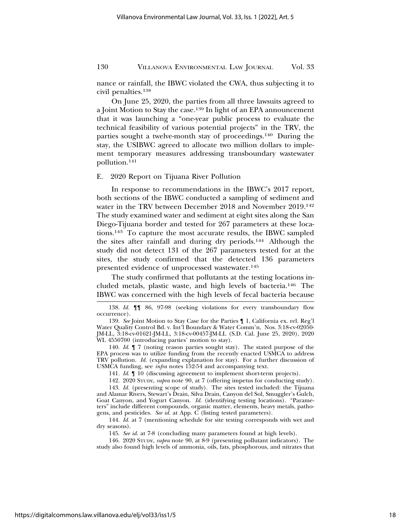nance or rainfall, the IBWC violated the CWA, thus subjecting it to civil penalties.138

On June 25, 2020, the parties from all three lawsuits agreed to a Joint Motion to Stay the case.139 In light of an EPA announcement that it was launching a "one-year public process to evaluate the technical feasibility of various potential projects" in the TRV, the parties sought a twelve-month stay of proceedings.140 During the stay, the USIBWC agreed to allocate two million dollars to implement temporary measures addressing transboundary wastewater pollution.141

#### E. 2020 Report on Tijuana River Pollution

In response to recommendations in the IBWC's 2017 report, both sections of the IBWC conducted a sampling of sediment and water in the TRV between December 2018 and November 2019.142 The study examined water and sediment at eight sites along the San Diego-Tijuana border and tested for 267 parameters at these locations.143 To capture the most accurate results, the IBWC sampled the sites after rainfall and during dry periods.144 Although the study did not detect 131 of the 267 parameters tested for at the sites, the study confirmed that the detected 136 parameters presented evidence of unprocessed wastewater.145

The study confirmed that pollutants at the testing locations included metals, plastic waste, and high levels of bacteria.146 The IBWC was concerned with the high levels of fecal bacteria because

140. *Id.* ¶ 7 (noting reason parties sought stay). The stated purpose of the EPA process was to utilize funding from the recently enacted USMCA to address TRV pollution. *Id.* (expanding explanation for stay). For a further discussion of USMCA funding, see *infra* notes 152-54 and accompanying text.

141. *Id.* ¶ 10 (discussing agreement to implement short-term projects).

142. 2020 STUDY, *supra* note 90, at 7 (offering impetus for conducting study).

143. *Id.* (presenting scope of study). The sites tested included: the Tijuana and Alamar Rivers, Stewart's Drain, Silva Drain, Canyon del Sol, Smuggler's Gulch, Goat Canyon, and Yogurt Canyon. *Id.* (identifying testing locations). "Parameters" include different compounds, organic matter, elements, heavy metals, pathogens, and pesticides. *See id.* at App. C (listing tested parameters).

144. *Id.* at 7 (mentioning schedule for site testing corresponds with wet and dry seasons).

145. *See id.* at 7-8 (concluding many parameters found at high levels).

146. 2020 STUDY, *supra* note 90, at 8-9 (presenting pollutant indicators). The study also found high levels of ammonia, oils, fats, phosphorous, and nitrates that

<sup>138.</sup> *Id.* ¶¶ 86, 97-98 (seeking violations for every transboundary flow occurrence).

<sup>139.</sup> *See* Joint Motion to Stay Case for the Parties ¶ 1, California ex. rel. Reg'l Water Quality Control Bd. v. Int'l Boundary & Water Comm'n, Nos. 3:18-cv-02050- JM-LL, 3:18-cv-01621-JM-LL, 3:18-cv-00457-JM-LL (S.D. Cal. June 25, 2020), 2020 WL 4550700 (introducing parties' motion to stay).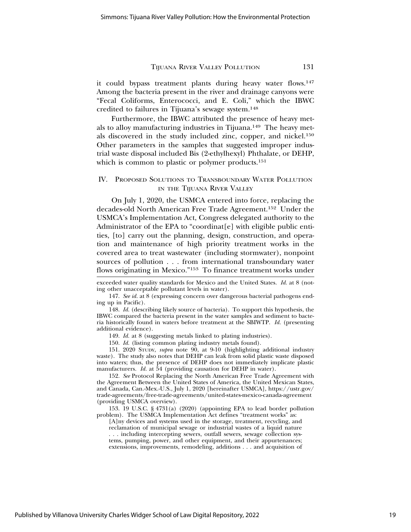it could bypass treatment plants during heavy water flows.<sup>147</sup> Among the bacteria present in the river and drainage canyons were "Fecal Coliforms, Enterococci, and E. Coli," which the IBWC credited to failures in Tijuana's sewage system.148

Furthermore, the IBWC attributed the presence of heavy metals to alloy manufacturing industries in Tijuana.<sup>149</sup> The heavy metals discovered in the study included zinc, copper, and nickel.150 Other parameters in the samples that suggested improper industrial waste disposal included Bis (2-ethylhexyl) Phthalate, or DEHP, which is common to plastic or polymer products.<sup>151</sup>

## IV. PROPOSED SOLUTIONS TO TRANSBOUNDARY WATER POLLUTION IN THE TIJUANA RIVER VALLEY

On July 1, 2020, the USMCA entered into force, replacing the decades-old North American Free Trade Agreement.152 Under the USMCA's Implementation Act, Congress delegated authority to the Administrator of the EPA to "coordinat<sup>[e]</sup> with eligible public entities, [to] carry out the planning, design, construction, and operation and maintenance of high priority treatment works in the covered area to treat wastewater (including stormwater), nonpoint sources of pollution . . . from international transboundary water flows originating in Mexico."153 To finance treatment works under

150. *Id.* (listing common plating industry metals found).

151. 2020 STUDY, *supra* note 90, at 9-10 (highlighting additional industry waste). The study also notes that DEHP can leak from solid plastic waste disposed into waters; thus, the presence of DEHP does not immediately implicate plastic manufacturers. *Id.* at 54 (providing causation for DEHP in water).

152. *See* Protocol Replacing the North American Free Trade Agreement with the Agreement Between the United States of America, the United Mexican States, and Canada, Can.-Mex.-U.S., July 1, 2020 [hereinafter USMCA], https://ustr.gov/ trade-agreements/free-trade-agreements/united-states-mexico-canada-agreement (providing USMCA overview).

153. 19 U.S.C. § 4731(a) (2020) (appointing EPA to lead border pollution problem). The USMCA Implementation Act defines "treatment works" as:

[A]ny devices and systems used in the storage, treatment, recycling, and reclamation of municipal sewage or industrial wastes of a liquid nature . . . including intercepting sewers, outfall sewers, sewage collection systems, pumping, power, and other equipment, and their appurtenances; extensions, improvements, remodeling, additions . . . and acquisition of

Published by Villanova University Charles Widger School of Law Digital Repository, 2022

exceeded water quality standards for Mexico and the United States. *Id.* at 8 (noting other unacceptable pollutant levels in water).

<sup>147.</sup> *See id.* at 8 (expressing concern over dangerous bacterial pathogens ending up in Pacific).

<sup>148.</sup> *Id.* (describing likely source of bacteria). To support this hypothesis, the IBWC compared the bacteria present in the water samples and sediment to bacteria historically found in waters before treatment at the SBIWTP. *Id.* (presenting additional evidence).

<sup>149.</sup> *Id.* at 8 (suggesting metals linked to plating industries).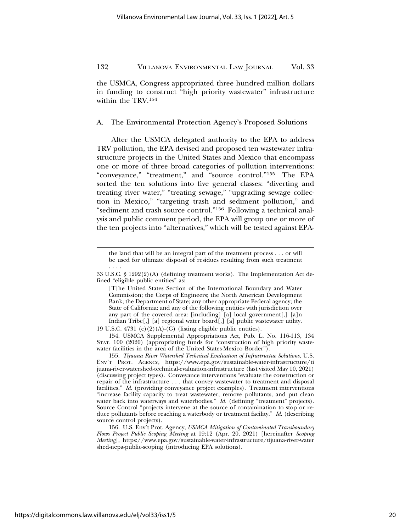the USMCA, Congress appropriated three hundred million dollars in funding to construct "high priority wastewater" infrastructure within the TRV.154

A. The Environmental Protection Agency's Proposed Solutions

After the USMCA delegated authority to the EPA to address TRV pollution, the EPA devised and proposed ten wastewater infrastructure projects in the United States and Mexico that encompass one or more of three broad categories of pollution interventions: "conveyance," "treatment," and "source control."155 The EPA sorted the ten solutions into five general classes: "diverting and treating river water," "treating sewage," "upgrading sewage collection in Mexico," "targeting trash and sediment pollution," and "sediment and trash source control."156 Following a technical analysis and public comment period, the EPA will group one or more of the ten projects into "alternatives," which will be tested against EPA-

the land that will be an integral part of the treatment process . . . or will be used for ultimate disposal of residues resulting from such treatment . . . .

<sup>33</sup> U.S.C. § 1292(2)(A) (defining treatment works). The Implementation Act defined "eligible public entities" as:

<sup>[</sup>T]he United States Section of the International Boundary and Water Commission; the Corps of Engineers; the North American Development Bank; the Department of State; any other appropriate Federal agency; the State of California; and any of the following entities with jurisdiction over any part of the covered area: [including] [a] local government[,] [a]n Indian Tribe[,] [a] regional water board[,] [a] public wastewater utility.

<sup>19</sup> U.S.C. 4731 (c)(2)(A)-(G) (listing eligible public entities).

<sup>154.</sup> USMCA Supplemental Appropriations Act, Pub. L. No. 116-113, 134 STAT. 100 (2020) (appropriating funds for "construction of high priority wastewater facilities in the area of the United States-Mexico Border").

<sup>155.</sup> *Tijuana River Watershed Technical Evaluation of Infrastructue Solutions*, U.S. ENV'T PROT. AGENCY, https://www.epa.gov/sustainable-water-infrastructure/ti juana-river-watershed-technical-evaluation-infrastructure (last visited May 10, 2021) (discussing project types). Conveyance interventions "evaluate the construction or repair of the infrastructure . . . that convey wastewater to treatment and disposal facilities." *Id.* (providing conveyance project examples). Treatment interventions "increase facility capacity to treat wastewater, remove pollutants, and put clean water back into waterways and waterbodies." *Id.* (defining "treatment" projects). Source Control "projects intervene at the source of contamination to stop or reduce pollutants before reaching a waterbody or treatment facility." *Id.* (describing source control projects).

<sup>156.</sup> U.S. Env't Prot. Agency, *USMCA Mitigation of Contaminated Transboundary Flows Project Public Scoping Meeting* at 19:12 (Apr. 20, 2021) [hereinafter *Scoping Meeting*], https://www.epa.gov/sustainable-water-infrastructure/tijuana-river-water shed-nepa-public-scoping (introducing EPA solutions).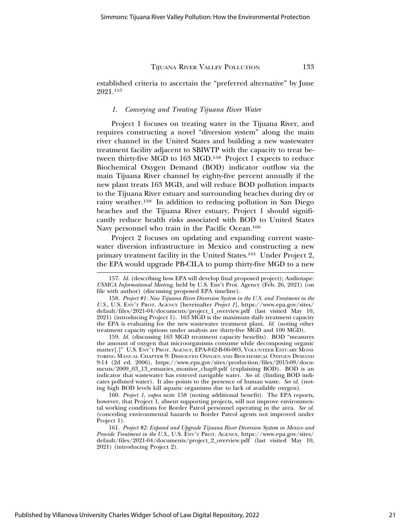established criteria to ascertain the "preferred alternative" by June 2021.157

#### *1. Conveying and Treating Tijuana River Water*

Project 1 focuses on treating water in the Tijuana River, and requires constructing a novel "diversion system" along the main river channel in the United States and building a new wastewater treatment facility adjacent to SBIWTP with the capacity to treat between thirty-five MGD to 163 MGD.158 Project 1 expects to reduce Biochemical Oxygen Demand (BOD) indicator outflow via the main Tijuana River channel by eighty-five percent annually if the new plant treats 163 MGD, and will reduce BOD pollution impacts to the Tijuana River estuary and surrounding beaches during dry or rainy weather.159 In addition to reducing pollution in San Diego beaches and the Tijuana River estuary, Project 1 should significantly reduce health risks associated with BOD to United States Navy personnel who train in the Pacific Ocean.<sup>160</sup>

Project 2 focuses on updating and expanding current wastewater diversion infrastructure in Mexico and constructing a new primary treatment facility in the United States.161 Under Project 2, the EPA would upgrade PB-CILA to pump thirty-five MGD to a new

159. *Id.* (discussing 163 MGD treatment capacity benefits). BOD "measures the amount of oxygen that microorganisms consume while decomposing organic matter[.]" U.S. ENV'T PROT. AGENCY, EPA-842-B-06-003, VOLUNTEER ESTUARY MONI-TORING MANUAL CHAPTER 9: DISSOLVED OXYGEN AND BIOCHEMICAL OXYGEN DEMAND 9-14 (2d ed. 2006), https://www.epa.gov/sites/production/files/2015-09/documents/2009\_03\_13\_estuaries\_monitor\_chap9.pdf (explaining BOD). BOD is an indicator that wastewater has entered navigable water. *See id.* (finding BOD indicates polluted water). It also points to the presence of human waste. *See id.* (noting high BOD levels kill aquatic organisms due to lack of available oxygen).

160. *Project 1*, *supra* note 158 (noting additional benefit). The EPA reports, however, that Project 1, absent supporting projects, will not improve environmental working conditions for Border Patrol personnel operating in the area. *See id.* (conceding environmental hazards to Border Patrol agents not improved under Project 1).

161. *Project #2: Expand and Upgrade Tijuana River Diversion System in Mexico and Provide Treatment in the U.S.*, U.S. ENV'T PROT. AGENCY, https://www.epa.gov/sites/ default/files/2021-04/documents/project\_2\_overview.pdf (last visited May 10, 2021) (introducing Project 2).

<sup>157.</sup> *Id.* (describing how EPA will develop final proposed project); Audiotape: *USMCA Informational Meeting*, held by U.S. Env't Prot. Agency (Feb. 26, 2021) (on file with author) (discussing proposed EPA timeline).

<sup>158.</sup> *Project #1: New Tijuana River Diversion System in the U.S. and Treatment in the U.S.*, U.S. ENV'T PROT. AGENCY [hereinafter *Project 1*], https://www.epa.gov/sites/ default/files/2021-04/documents/project\_1\_overview.pdf (last visited May 10, 2021) (introducing Project 1). 163 MGD is the maximum daily treatment capacity the EPA is evaluating for the new wastewater treatment plant. *Id.* (noting other treatment capacity options under analysis are thirty-five MGD and 100 MGD).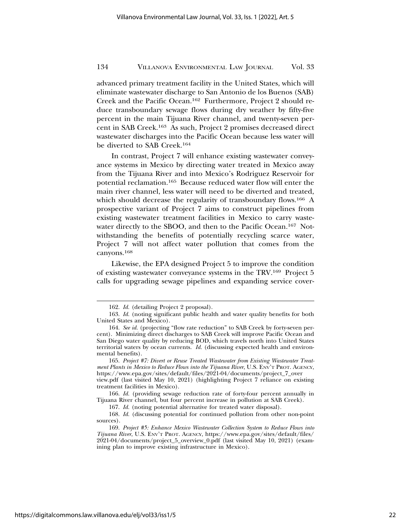advanced primary treatment facility in the United States, which will eliminate wastewater discharge to San Antonio de los Buenos (SAB) Creek and the Pacific Ocean.162 Furthermore, Project 2 should reduce transboundary sewage flows during dry weather by fifty-five percent in the main Tijuana River channel, and twenty-seven percent in SAB Creek.163 As such, Project 2 promises decreased direct wastewater discharges into the Pacific Ocean because less water will be diverted to SAB Creek.164

In contrast, Project 7 will enhance existing wastewater conveyance systems in Mexico by directing water treated in Mexico away from the Tijuana River and into Mexico's Rodriguez Reservoir for potential reclamation.165 Because reduced water flow will enter the main river channel, less water will need to be diverted and treated, which should decrease the regularity of transboundary flows.166 A prospective variant of Project 7 aims to construct pipelines from existing wastewater treatment facilities in Mexico to carry wastewater directly to the SBOO, and then to the Pacific Ocean.167 Notwithstanding the benefits of potentially recycling scarce water, Project 7 will not affect water pollution that comes from the canyons.168

Likewise, the EPA designed Project 5 to improve the condition of existing wastewater conveyance systems in the TRV.169 Project 5 calls for upgrading sewage pipelines and expanding service cover-

<sup>162.</sup> *Id.* (detailing Project 2 proposal).

<sup>163.</sup> *Id.* (noting significant public health and water quality benefits for both United States and Mexico).

<sup>164.</sup> *See id.* (projecting "flow rate reduction" to SAB Creek by forty-seven percent). Minimizing direct discharges to SAB Creek will improve Pacific Ocean and San Diego water quality by reducing BOD, which travels north into United States territorial waters by ocean currents. *Id.* (discussing expected health and environmental benefits).

<sup>165.</sup> *Project #7: Divert or Reuse Treated Wastewater from Existing Wastewater Treatment Plants in Mexico to Reduce Flows into the Tijuana River*, U.S. ENV'T PROT. AGENCY, https://www.epa.gov/sites/default/files/2021-04/documents/project\_7\_over view.pdf (last visited May 10, 2021) (highlighting Project 7 reliance on existing

treatment facilities in Mexico). 166. *Id.* (providing sewage reduction rate of forty-four percent annually in

Tijuana River channel, but four percent increase in pollution at SAB Creek).

<sup>167.</sup> *Id.* (noting potential alternative for treated water disposal).

<sup>168.</sup> *Id.* (discussing potential for continued pollution from other non-point sources).

<sup>169.</sup> *Project #5: Enhance Mexico Wastewater Collection System to Reduce Flows into Tijuana River*, U.S. ENV'T PROT. AGENCY, https://www.epa.gov/sites/default/files/ 2021-04/documents/project\_5\_overview\_0.pdf (last visited May 10, 2021) (examining plan to improve existing infrastructure in Mexico).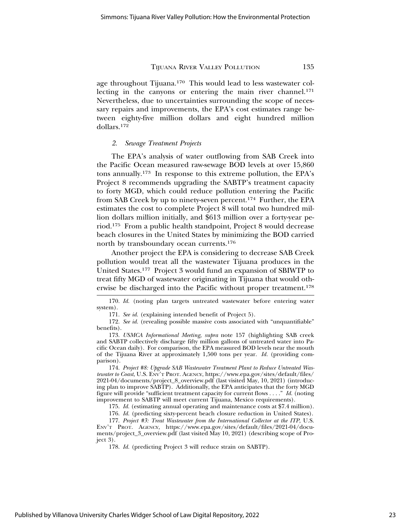age throughout Tijuana.170 This would lead to less wastewater collecting in the canyons or entering the main river channel.<sup>171</sup> Nevertheless, due to uncertainties surrounding the scope of necessary repairs and improvements, the EPA's cost estimates range between eighty-five million dollars and eight hundred million dollars.172

#### *2. Sewage Treatment Projects*

The EPA's analysis of water outflowing from SAB Creek into the Pacific Ocean measured raw-sewage BOD levels at over 15,860 tons annually.173 In response to this extreme pollution, the EPA's Project 8 recommends upgrading the SABTP's treatment capacity to forty MGD, which could reduce pollution entering the Pacific from SAB Creek by up to ninety-seven percent.174 Further, the EPA estimates the cost to complete Project 8 will total two hundred million dollars million initially, and \$613 million over a forty-year period.175 From a public health standpoint, Project 8 would decrease beach closures in the United States by minimizing the BOD carried north by transboundary ocean currents.176

Another project the EPA is considering to decrease SAB Creek pollution would treat all the wastewater Tijuana produces in the United States.177 Project 3 would fund an expansion of SBIWTP to treat fifty MGD of wastewater originating in Tijuana that would otherwise be discharged into the Pacific without proper treatment.178

174. *Project #8: Upgrade SAB Wastewater Treatment Plant to Reduce Untreated Wastewater to Coast*, U.S. ENV'T PROT. AGENCY, https://www.epa.gov/sites/default/files/ 2021-04/documents/project\_8\_overview.pdf (last visited May, 10, 2021) (introducing plan to improve SABTP). Additionally, the EPA anticipates that the forty MGD figure will provide "sufficient treatment capacity for current flows . . . ." *Id.* (noting improvement to SABTP will meet current Tijuana, Mexico requirements).

175. *Id.* (estimating annual operating and maintenance costs at \$7.4 million).

<sup>170.</sup> *Id.* (noting plan targets untreated wastewater before entering water system).

<sup>171.</sup> *See id.* (explaining intended benefit of Project 5).

<sup>172.</sup> *See id.* (revealing possible massive costs associated with "unquantifiable" benefits).

<sup>173.</sup> *USMCA Informational Meeting*, *supra* note 157 (highlighting SAB creek and SABTP collectively discharge fifty million gallons of untreated water into Pacific Ocean daily). For comparison, the EPA measured BOD levels near the mouth of the Tijuana River at approximately 1,500 tons per year. *Id.* (providing comparison).

<sup>176.</sup> *Id.* (predicting sixty-percent beach closure reduction in United States).

<sup>177.</sup> *Project #3: Treat Wastewater from the International Collector at the ITP*, U.S. ENV'T PROT. AGENCY, https://www.epa.gov/sites/default/files/2021-04/documents/project\_3\_overview.pdf (last visited May 10, 2021) (describing scope of Project 3).

<sup>178.</sup> *Id.* (predicting Project 3 will reduce strain on SABTP).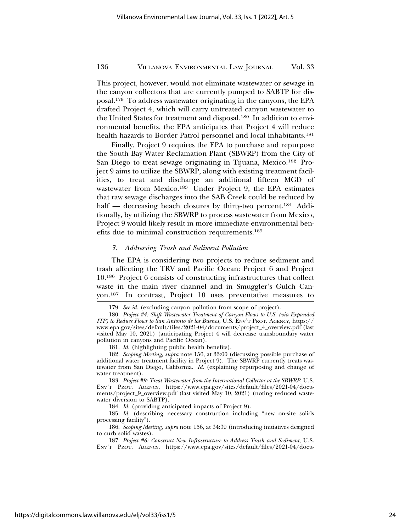This project, however, would not eliminate wastewater or sewage in the canyon collectors that are currently pumped to SABTP for disposal.179 To address wastewater originating in the canyons, the EPA drafted Project 4, which will carry untreated canyon wastewater to the United States for treatment and disposal.180 In addition to environmental benefits, the EPA anticipates that Project 4 will reduce health hazards to Border Patrol personnel and local inhabitants.<sup>181</sup>

Finally, Project 9 requires the EPA to purchase and repurpose the South Bay Water Reclamation Plant (SBWRP) from the City of San Diego to treat sewage originating in Tijuana, Mexico.<sup>182</sup> Project 9 aims to utilize the SBWRP, along with existing treatment facilities, to treat and discharge an additional fifteen MGD of wastewater from Mexico.183 Under Project 9, the EPA estimates that raw sewage discharges into the SAB Creek could be reduced by half — decreasing beach closures by thirty-two percent.<sup>184</sup> Additionally, by utilizing the SBWRP to process wastewater from Mexico, Project 9 would likely result in more immediate environmental benefits due to minimal construction requirements.185

#### *3. Addressing Trash and Sediment Pollution*

The EPA is considering two projects to reduce sediment and trash affecting the TRV and Pacific Ocean: Project 6 and Project 10.186 Project 6 consists of constructing infrastructures that collect waste in the main river channel and in Smuggler's Gulch Canyon.187 In contrast, Project 10 uses preventative measures to

181. *Id.* (highlighting public health benefits).

183. *Project #9: Treat Wastewater from the International Collector at the SBWRP*, U.S. ENV'T PROT. AGENCY, https://www.epa.gov/sites/default/files/2021-04/documents/project\_9\_overview.pdf (last visited May 10, 2021) (noting reduced wastewater diversion to SABTP).

184. *Id.* (providing anticipated impacts of Project 9).

185. *Id.* (describing necessary construction including "new on-site solids processing facility").

186. *Scoping Meeting*, *supra* note 156, at 34:39 (introducing initiatives designed to curb solid wastes).

187. *Project #6: Construct New Infrastructure to Address Trash and Sediment*, U.S. ENV'T PROT. AGENCY, https://www.epa.gov/sites/default/files/2021-04/docu-

<sup>179.</sup> *See id.* (excluding canyon pollution from scope of project).

<sup>180.</sup> *Project #4: Shift Wastewater Treatment of Canyon Flows to U.S. (via Expanded ITP) to Reduce Flows to San Antonio de los Buenos*, U.S. ENV'T PROT. AGENCY, https:// www.epa.gov/sites/default/files/2021-04/documents/project\_4\_overview.pdf (last visited May 10, 2021) (anticipating Project 4 will decrease transboundary water pollution in canyons and Pacific Ocean).

<sup>182.</sup> *Scoping Meeting*, *supra* note 156, at 33:00 (discussing possible purchase of additional water treatment facility in Project 9). The SBWRP currently treats wastewater from San Diego, California. *Id.* (explaining repurposing and change of water treatment).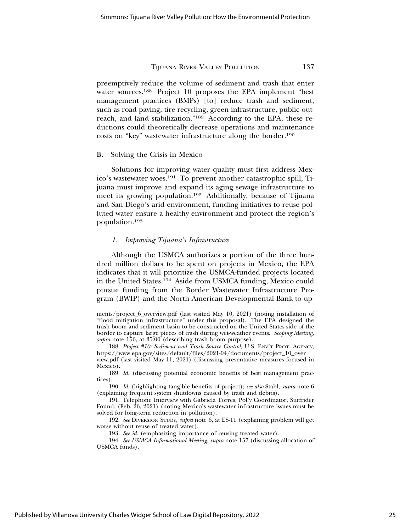preemptively reduce the volume of sediment and trash that enter water sources.188 Project 10 proposes the EPA implement "best management practices (BMPs) [to] reduce trash and sediment, such as road paving, tire recycling, green infrastructure, public outreach, and land stabilization."189 According to the EPA, these reductions could theoretically decrease operations and maintenance costs on "key" wastewater infrastructure along the border.190

#### B. Solving the Crisis in Mexico

Solutions for improving water quality must first address Mexico's wastewater woes.191 To prevent another catastrophic spill, Tijuana must improve and expand its aging sewage infrastructure to meet its growing population.192 Additionally, because of Tijuana and San Diego's arid environment, funding initiatives to reuse polluted water ensure a healthy environment and protect the region's population.193

#### *1. Improving Tijuana's Infrastructure*

Although the USMCA authorizes a portion of the three hundred million dollars to be spent on projects in Mexico, the EPA indicates that it will prioritize the USMCA-funded projects located in the United States.194 Aside from USMCA funding, Mexico could pursue funding from the Border Wastewater Infrastructure Program (BWIP) and the North American Developmental Bank to up-

ments/project\_6\_overview.pdf (last visited May 10, 2021) (noting installation of "flood mitigation infrastructure" under this proposal). The EPA designed the trash boom and sediment basin to be constructed on the United States side of the border to capture large pieces of trash during wet-weather events. *Scoping Meeting*, *supra* note 156, at 35:00 (describing trash boom purpose).

<sup>188.</sup> *Project #10: Sediment and Trash Source Control*, U.S. ENV'T PROT. AGENCY, https://www.epa.gov/sites/default/files/2021-04/documents/project\_10\_over view.pdf (last visited May 11, 2021) (discussing preventative measures focused in Mexico).

<sup>189.</sup> *Id.* (discussing potential economic benefits of best management practices).

<sup>190.</sup> *Id.* (highlighting tangible benefits of project); *see also* Stahl, *supra* note 6 (explaining frequent system shutdowns caused by trash and debris).

<sup>191.</sup> Telephone Interview with Gabriela Torres, Pol'y Coordinator, Surfrider Found. (Feb. 26, 2021) (noting Mexico's wastewater infrastructure issues must be solved for long-term reduction in pollution).

<sup>192.</sup> *See* DIVERSION STUDY, *supra* note 6, at ES-11 (explaining problem will get worse without reuse of treated water).

<sup>193.</sup> *See id.* (emphasizing importance of reusing treated water).

<sup>194.</sup> *See USMCA Informational Meeting*, *supra* note 157 (discussing allocation of USMCA funds).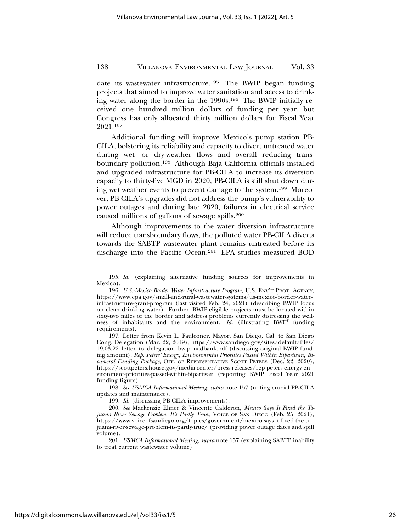date its wastewater infrastructure.195 The BWIP began funding projects that aimed to improve water sanitation and access to drinking water along the border in the 1990s.196 The BWIP initially received one hundred million dollars of funding per year, but Congress has only allocated thirty million dollars for Fiscal Year 2021.197

Additional funding will improve Mexico's pump station PB-CILA, bolstering its reliability and capacity to divert untreated water during wet- or dry-weather flows and overall reducing transboundary pollution.198 Although Baja California officials installed and upgraded infrastructure for PB-CILA to increase its diversion capacity to thirty-five MGD in 2020, PB-CILA is still shut down during wet-weather events to prevent damage to the system.199 Moreover, PB-CILA's upgrades did not address the pump's vulnerability to power outages and during late 2020, failures in electrical service caused millions of gallons of sewage spills.200

Although improvements to the water diversion infrastructure will reduce transboundary flows, the polluted water PB-CILA diverts towards the SABTP wastewater plant remains untreated before its discharge into the Pacific Ocean.201 EPA studies measured BOD

198. *See USMCA Informational Meeting*, *supra* note 157 (noting crucial PB-CILA updates and maintenance).

199. *Id.* (discussing PB-CILA improvements).

200. *See* Mackenzie Elmer & Vincente Calderon, *Mexico Says It Fixed the Tijuana River Sewage Problem. It's Partly True.*, VOICE OF SAN DIEGO (Feb. 25, 2021), https://www.voiceofsandiego.org/topics/government/mexico-says-it-fixed-the-ti juana-river-sewage-problem-its-partly-true/ (providing power outage dates and spill volume).

<sup>195.</sup> *Id.* (explaining alternative funding sources for improvements in Mexico).

<sup>196.</sup> *U.S.-Mexico Border Water Infrastructure Program*, U.S. ENV'T PROT. AGENCY, https://www.epa.gov/small-and-rural-wastewater-systems/us-mexico-border-waterinfrastructure-grant-program (last visited Feb. 24, 2021) (describing BWIP focus on clean drinking water). Further, BWIP-eligible projects must be located within sixty-two miles of the border and address problems currently distressing the wellness of inhabitants and the environment. *Id.* (illustrating BWIP funding requirements).

<sup>197.</sup> Letter from Kevin L. Faulconer, Mayor, San Diego, Cal. to San Diego Cong. Delegation (Mar. 22, 2019), https://www.sandiego.gov/sites/default/files/ 19.03.22\_letter\_to\_delegation\_bwip\_nadbank.pdf (discussing original BWIP funding amount); *Rep. Peters' Energy, Environmental Priorities Passed Within Bipartisan, Bicameral Funding Package*, OFF. OF REPRESENTATIVE SCOTT PETERS (Dec. 22, 2020), https://scottpeters.house.gov/media-center/press-releases/rep-peters-energy-environment-priorities-passed-within-bipartisan (reporting BWIP Fiscal Year 2021 funding figure).

<sup>201.</sup> *USMCA Informational Meeting*, *supra* note 157 (explaining SABTP inability to treat current wastewater volume).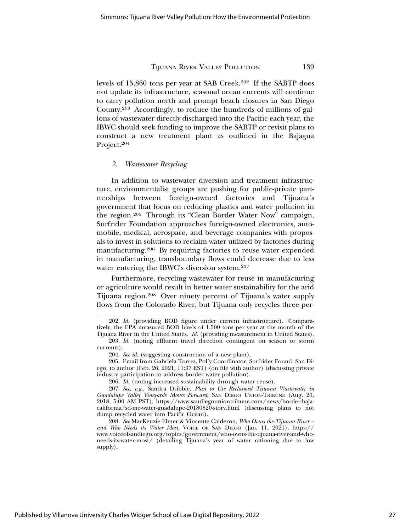levels of 15,860 tons per year at SAB Creek.202 If the SABTP does not update its infrastructure, seasonal ocean currents will continue to carry pollution north and prompt beach closures in San Diego County.203 Accordingly, to reduce the hundreds of millions of gallons of wastewater directly discharged into the Pacific each year, the IBWC should seek funding to improve the SABTP or revisit plans to construct a new treatment plant as outlined in the Bajagua Project.204

#### *2. Wastewater Recycling*

In addition to wastewater diversion and treatment infrastructure, environmentalist groups are pushing for public-private partnerships between foreign-owned factories and Tijuana's government that focus on reducing plastics and water pollution in the region.205 Through its "Clean Border Water Now" campaign, Surfrider Foundation approaches foreign-owned electronics, automobile, medical, aerospace, and beverage companies with proposals to invest in solutions to reclaim water utilized by factories during manufacturing.206 By requiring factories to reuse water expended in manufacturing, transboundary flows could decrease due to less water entering the IBWC's diversion system.<sup>207</sup>

Furthermore, recycling wastewater for reuse in manufacturing or agriculture would result in better water sustainability for the arid Tijuana region.208 Over ninety percent of Tijuana's water supply flows from the Colorado River, but Tijuana only recycles three per-

Published by Villanova University Charles Widger School of Law Digital Repository, 2022

<sup>202.</sup> *Id.* (providing BOD figure under current infrastructure). Comparatively, the EPA measured BOD levels of 1,500 tons per year at the mouth of the Tijuana River in the United States. *Id.* (providing measurement in United States).

<sup>203.</sup> *Id.* (noting effluent travel direction contingent on season or storm currents).

<sup>204.</sup> *See id.* (suggesting construction of a new plant).

<sup>205.</sup> Email from Gabriela Torres, Pol'y Coordinator, Surfrider Found. San Diego, to author (Feb. 26, 2021, 11:37 EST) (on file with author) (discussing private industry participation to address border water pollution).

<sup>206.</sup> *Id.* (noting increased sustainability through water reuse).

<sup>207.</sup> *See, e.g.*, Sandra Dribble, *Plan to Use Reclaimed Tijuana Wastewater in Guadalupe Valley Vineyards Moves Forward*, SAN DIEGO UNION-TRIBUNE (Aug. 20, 2018, 5:00 AM PST), https://www.sandiegouniontribune.com/news/border-bajacalifornia/sd-me-water-guadalupe-20180820-story.html (discussing plans to not dump recycled water into Pacific Ocean).

<sup>208.</sup> *See* MacKenzie Elmer & Vincente Calderon, *Who Owns the Tijuana River –* and Who Needs its Water Most, VOICE OF SAN DIEGO (Jan. 11, 2021), https:// www.voiceofsandiego.org/topics/government/who-owns-the-tijuana-river-and-whoneeds-its-water-most/ (detailing Tijuana's year of water rationing due to low supply).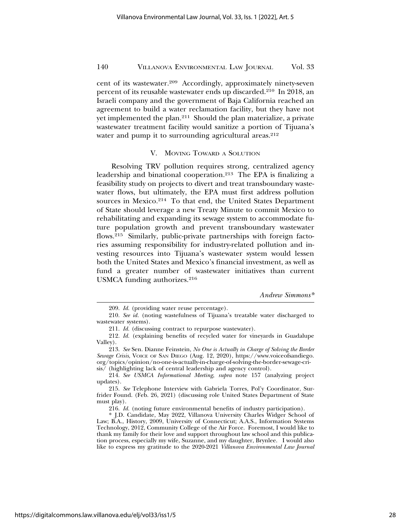cent of its wastewater.209 Accordingly, approximately ninety-seven percent of its reusable wastewater ends up discarded.210 In 2018, an Israeli company and the government of Baja California reached an agreement to build a water reclamation facility, but they have not yet implemented the plan.211 Should the plan materialize, a private wastewater treatment facility would sanitize a portion of Tijuana's water and pump it to surrounding agricultural areas.<sup>212</sup>

#### V. MOVING TOWARD A SOLUTION

Resolving TRV pollution requires strong, centralized agency leadership and binational cooperation.213 The EPA is finalizing a feasibility study on projects to divert and treat transboundary wastewater flows, but ultimately, the EPA must first address pollution sources in Mexico.<sup>214</sup> To that end, the United States Department of State should leverage a new Treaty Minute to commit Mexico to rehabilitating and expanding its sewage system to accommodate future population growth and prevent transboundary wastewater flows.215 Similarly, public-private partnerships with foreign factories assuming responsibility for industry-related pollution and investing resources into Tijuana's wastewater system would lessen both the United States and Mexico's financial investment, as well as fund a greater number of wastewater initiatives than current USMCA funding authorizes.<sup>216</sup>

*Andrew Simmons\**

<sup>209.</sup> *Id.* (providing water reuse percentage).

<sup>210.</sup> *See id.* (noting wastefulness of Tijuana's treatable water discharged to wastewater systems).

<sup>211.</sup> *Id.* (discussing contract to repurpose wastewater).

<sup>212.</sup> *Id.* (explaining benefits of recycled water for vineyards in Guadalupe Valley).

<sup>213.</sup> *See* Sen. Dianne Feinstein, *No One is Actually in Charge of Solving the Border Sewage Crisis*, VOICE OF SAN DIEGO (Aug. 12, 2020), https://www.voiceofsandiego. org/topics/opinion/no-one-is-actually-in-charge-of-solving-the-border-sewage-crisis/ (highlighting lack of central leadership and agency control).

<sup>214.</sup> *See USMCA Informational Meeting*, *supra* note 157 (analyzing project updates).

<sup>215.</sup> *See* Telephone Interview with Gabriela Torres, Pol'y Coordinator, Surfrider Found. (Feb. 26, 2021) (discussing role United States Department of State must play).

<sup>216.</sup> *Id.* (noting future environmental benefits of industry participation).

<sup>\*</sup> J.D. Candidate, May 2022, Villanova University Charles Widger School of Law; B.A., History, 2009, University of Connecticut; A.A.S., Information Systems Technology, 2012, Community College of the Air Force. Foremost, I would like to thank my family for their love and support throughout law school and this publication process, especially my wife, Suzanne, and my daughter, Brynlee. I would also like to express my gratitude to the 2020-2021 *Villanova Environmental Law Journal*